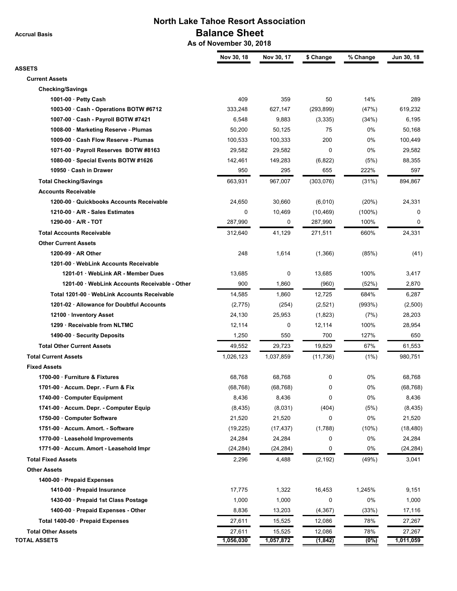**Accrual Basis**

## **North Lake Tahoe Resort Association Balance Sheet**

 **As of November 30, 2018**

| <b>ASSETS</b><br><b>Current Assets</b><br><b>Checking/Savings</b><br>409<br>359<br>50<br>14%<br>289<br>1001-00 · Petty Cash<br>627,147<br>(293, 899)<br>619,232<br>1003-00 · Cash - Operations BOTW #6712<br>333,248<br>(47%)<br>1007-00 · Cash - Payroll BOTW #7421<br>6,548<br>9,883<br>(3,335)<br>(34%)<br>6,195<br>75<br>0%<br>1008-00 · Marketing Reserve - Plumas<br>50,200<br>50,125<br>50,168<br>1009-00 · Cash Flow Reserve - Plumas<br>0%<br>100,449<br>100,533<br>100,333<br>200<br>$\mathbf 0$<br>0%<br>1071-00 · Payroll Reserves BOTW #8163<br>29,582<br>29,582<br>29,582<br>88,355<br>1080-00 · Special Events BOTW #1626<br>142,461<br>149,283<br>(6, 822)<br>(5%)<br>10950 · Cash in Drawer<br>950<br>295<br>655<br>222%<br>597<br><b>Total Checking/Savings</b><br>663,931<br>967,007<br>(303, 076)<br>(31%)<br>894,867<br><b>Accounts Receivable</b><br>1200-00 · Quickbooks Accounts Receivable<br>24,650<br>30,660<br>(6,010)<br>(20%)<br>24,331<br>1210-00 · A/R - Sales Estimates<br>0<br>10,469<br>(10, 469)<br>$(100\%)$<br>0<br>$1290-00 \cdot A/R - TOT$<br>287,990<br>0<br>287,990<br>100%<br>0<br><b>Total Accounts Receivable</b><br>41,129<br>660%<br>24,331<br>312,640<br>271,511<br><b>Other Current Assets</b><br>248<br>1,614<br>$1200-99 \cdot AR$ Other<br>(1,366)<br>(85%)<br>(41)<br>1201-00 · WebLink Accounts Receivable<br>13,685<br>13,685<br>100%<br>1201-01 · WebLink AR - Member Dues<br>0<br>3,417<br>900<br>1201-00 · WebLink Accounts Receivable - Other<br>1,860<br>(960)<br>(52%)<br>2,870<br>Total 1201-00 · WebLink Accounts Receivable<br>14,585<br>12,725<br>684%<br>1,860<br>6,287<br>1201-02 · Allowance for Doubtful Accounts<br>(2,775)<br>(254)<br>(2,521)<br>(993%)<br>(2,500)<br>12100 · Inventory Asset<br>24,130<br>25,953<br>(1,823)<br>(7%)<br>28,203<br>1299 · Receivable from NLTMC<br>100%<br>12,114<br>0<br>12,114<br>28,954<br>127%<br>1490-00 · Security Deposits<br>1,250<br>550<br>700<br>650<br><b>Total Other Current Assets</b><br>67%<br>49,552<br>29,723<br>19,829<br>61,553<br><b>Total Current Assets</b><br>1,026,123<br>1,037,859<br>(1%)<br>980,751<br>(11, 736)<br><b>Fixed Assets</b><br>0<br>0%<br>1700-00 · Furniture & Fixtures<br>68,768<br>68,768<br>68,768<br>1701-00 · Accum. Depr. - Furn & Fix<br>0%<br>(68, 768)<br>(68, 768)<br>(68, 768)<br>0<br>8,436<br>0%<br>1740-00 Computer Equipment<br>8,436<br>0<br>8,436<br>1741-00 · Accum. Depr. - Computer Equip<br>(8, 435)<br>(8,031)<br>(404)<br>(5%)<br>(8, 435)<br>21,520<br>0%<br>1750-00 · Computer Software<br>21,520<br>21,520<br>0<br>1751-00 · Accum. Amort. - Software<br>(19, 225)<br>(1,788)<br>(10%)<br>(17, 437)<br>(18, 480)<br>0%<br>1770-00 · Leasehold Improvements<br>24,284<br>24,284<br>0<br>24,284<br>0%<br>1771-00 · Accum. Amort - Leasehold Impr<br>0<br>(24, 284)<br>(24, 284)<br>(24, 284)<br><b>Total Fixed Assets</b><br>2,296<br>4,488<br>(49%)<br>3,041<br>(2, 192)<br><b>Other Assets</b><br>1400-00 · Prepaid Expenses<br>1,322<br>1410-00 · Prepaid Insurance<br>17,775<br>16,453<br>1,245%<br>9,151<br>1430-00 · Prepaid 1st Class Postage<br>1,000<br>1,000<br>0<br>0%<br>1,000<br>1400-00 · Prepaid Expenses - Other<br>8,836<br>17,116<br>13,203<br>(4, 367)<br>(33%)<br>Total 1400-00 · Prepaid Expenses<br>27,611<br>15,525<br>12,086<br>78%<br>27,267<br><b>Total Other Assets</b><br>27,611<br>15,525<br>12,086<br>78%<br>27,267 | Nov 30, 18 | Nov 30, 17 | \$ Change | % Change | Jun 30, 18 |
|----------------------------------------------------------------------------------------------------------------------------------------------------------------------------------------------------------------------------------------------------------------------------------------------------------------------------------------------------------------------------------------------------------------------------------------------------------------------------------------------------------------------------------------------------------------------------------------------------------------------------------------------------------------------------------------------------------------------------------------------------------------------------------------------------------------------------------------------------------------------------------------------------------------------------------------------------------------------------------------------------------------------------------------------------------------------------------------------------------------------------------------------------------------------------------------------------------------------------------------------------------------------------------------------------------------------------------------------------------------------------------------------------------------------------------------------------------------------------------------------------------------------------------------------------------------------------------------------------------------------------------------------------------------------------------------------------------------------------------------------------------------------------------------------------------------------------------------------------------------------------------------------------------------------------------------------------------------------------------------------------------------------------------------------------------------------------------------------------------------------------------------------------------------------------------------------------------------------------------------------------------------------------------------------------------------------------------------------------------------------------------------------------------------------------------------------------------------------------------------------------------------------------------------------------------------------------------------------------------------------------------------------------------------------------------------------------------------------------------------------------------------------------------------------------------------------------------------------------------------------------------------------------------------------------------------------------------------------------------------------------------------------------------------------------------------------------------------------------------------------------------------------------------------------------------------------------------------------------------------------------------------------------------------------------------------------------------------------------------------------------------------------------------------------------|------------|------------|-----------|----------|------------|
|                                                                                                                                                                                                                                                                                                                                                                                                                                                                                                                                                                                                                                                                                                                                                                                                                                                                                                                                                                                                                                                                                                                                                                                                                                                                                                                                                                                                                                                                                                                                                                                                                                                                                                                                                                                                                                                                                                                                                                                                                                                                                                                                                                                                                                                                                                                                                                                                                                                                                                                                                                                                                                                                                                                                                                                                                                                                                                                                                                                                                                                                                                                                                                                                                                                                                                                                                                                                                            |            |            |           |          |            |
|                                                                                                                                                                                                                                                                                                                                                                                                                                                                                                                                                                                                                                                                                                                                                                                                                                                                                                                                                                                                                                                                                                                                                                                                                                                                                                                                                                                                                                                                                                                                                                                                                                                                                                                                                                                                                                                                                                                                                                                                                                                                                                                                                                                                                                                                                                                                                                                                                                                                                                                                                                                                                                                                                                                                                                                                                                                                                                                                                                                                                                                                                                                                                                                                                                                                                                                                                                                                                            |            |            |           |          |            |
|                                                                                                                                                                                                                                                                                                                                                                                                                                                                                                                                                                                                                                                                                                                                                                                                                                                                                                                                                                                                                                                                                                                                                                                                                                                                                                                                                                                                                                                                                                                                                                                                                                                                                                                                                                                                                                                                                                                                                                                                                                                                                                                                                                                                                                                                                                                                                                                                                                                                                                                                                                                                                                                                                                                                                                                                                                                                                                                                                                                                                                                                                                                                                                                                                                                                                                                                                                                                                            |            |            |           |          |            |
|                                                                                                                                                                                                                                                                                                                                                                                                                                                                                                                                                                                                                                                                                                                                                                                                                                                                                                                                                                                                                                                                                                                                                                                                                                                                                                                                                                                                                                                                                                                                                                                                                                                                                                                                                                                                                                                                                                                                                                                                                                                                                                                                                                                                                                                                                                                                                                                                                                                                                                                                                                                                                                                                                                                                                                                                                                                                                                                                                                                                                                                                                                                                                                                                                                                                                                                                                                                                                            |            |            |           |          |            |
|                                                                                                                                                                                                                                                                                                                                                                                                                                                                                                                                                                                                                                                                                                                                                                                                                                                                                                                                                                                                                                                                                                                                                                                                                                                                                                                                                                                                                                                                                                                                                                                                                                                                                                                                                                                                                                                                                                                                                                                                                                                                                                                                                                                                                                                                                                                                                                                                                                                                                                                                                                                                                                                                                                                                                                                                                                                                                                                                                                                                                                                                                                                                                                                                                                                                                                                                                                                                                            |            |            |           |          |            |
|                                                                                                                                                                                                                                                                                                                                                                                                                                                                                                                                                                                                                                                                                                                                                                                                                                                                                                                                                                                                                                                                                                                                                                                                                                                                                                                                                                                                                                                                                                                                                                                                                                                                                                                                                                                                                                                                                                                                                                                                                                                                                                                                                                                                                                                                                                                                                                                                                                                                                                                                                                                                                                                                                                                                                                                                                                                                                                                                                                                                                                                                                                                                                                                                                                                                                                                                                                                                                            |            |            |           |          |            |
|                                                                                                                                                                                                                                                                                                                                                                                                                                                                                                                                                                                                                                                                                                                                                                                                                                                                                                                                                                                                                                                                                                                                                                                                                                                                                                                                                                                                                                                                                                                                                                                                                                                                                                                                                                                                                                                                                                                                                                                                                                                                                                                                                                                                                                                                                                                                                                                                                                                                                                                                                                                                                                                                                                                                                                                                                                                                                                                                                                                                                                                                                                                                                                                                                                                                                                                                                                                                                            |            |            |           |          |            |
|                                                                                                                                                                                                                                                                                                                                                                                                                                                                                                                                                                                                                                                                                                                                                                                                                                                                                                                                                                                                                                                                                                                                                                                                                                                                                                                                                                                                                                                                                                                                                                                                                                                                                                                                                                                                                                                                                                                                                                                                                                                                                                                                                                                                                                                                                                                                                                                                                                                                                                                                                                                                                                                                                                                                                                                                                                                                                                                                                                                                                                                                                                                                                                                                                                                                                                                                                                                                                            |            |            |           |          |            |
|                                                                                                                                                                                                                                                                                                                                                                                                                                                                                                                                                                                                                                                                                                                                                                                                                                                                                                                                                                                                                                                                                                                                                                                                                                                                                                                                                                                                                                                                                                                                                                                                                                                                                                                                                                                                                                                                                                                                                                                                                                                                                                                                                                                                                                                                                                                                                                                                                                                                                                                                                                                                                                                                                                                                                                                                                                                                                                                                                                                                                                                                                                                                                                                                                                                                                                                                                                                                                            |            |            |           |          |            |
|                                                                                                                                                                                                                                                                                                                                                                                                                                                                                                                                                                                                                                                                                                                                                                                                                                                                                                                                                                                                                                                                                                                                                                                                                                                                                                                                                                                                                                                                                                                                                                                                                                                                                                                                                                                                                                                                                                                                                                                                                                                                                                                                                                                                                                                                                                                                                                                                                                                                                                                                                                                                                                                                                                                                                                                                                                                                                                                                                                                                                                                                                                                                                                                                                                                                                                                                                                                                                            |            |            |           |          |            |
|                                                                                                                                                                                                                                                                                                                                                                                                                                                                                                                                                                                                                                                                                                                                                                                                                                                                                                                                                                                                                                                                                                                                                                                                                                                                                                                                                                                                                                                                                                                                                                                                                                                                                                                                                                                                                                                                                                                                                                                                                                                                                                                                                                                                                                                                                                                                                                                                                                                                                                                                                                                                                                                                                                                                                                                                                                                                                                                                                                                                                                                                                                                                                                                                                                                                                                                                                                                                                            |            |            |           |          |            |
|                                                                                                                                                                                                                                                                                                                                                                                                                                                                                                                                                                                                                                                                                                                                                                                                                                                                                                                                                                                                                                                                                                                                                                                                                                                                                                                                                                                                                                                                                                                                                                                                                                                                                                                                                                                                                                                                                                                                                                                                                                                                                                                                                                                                                                                                                                                                                                                                                                                                                                                                                                                                                                                                                                                                                                                                                                                                                                                                                                                                                                                                                                                                                                                                                                                                                                                                                                                                                            |            |            |           |          |            |
|                                                                                                                                                                                                                                                                                                                                                                                                                                                                                                                                                                                                                                                                                                                                                                                                                                                                                                                                                                                                                                                                                                                                                                                                                                                                                                                                                                                                                                                                                                                                                                                                                                                                                                                                                                                                                                                                                                                                                                                                                                                                                                                                                                                                                                                                                                                                                                                                                                                                                                                                                                                                                                                                                                                                                                                                                                                                                                                                                                                                                                                                                                                                                                                                                                                                                                                                                                                                                            |            |            |           |          |            |
|                                                                                                                                                                                                                                                                                                                                                                                                                                                                                                                                                                                                                                                                                                                                                                                                                                                                                                                                                                                                                                                                                                                                                                                                                                                                                                                                                                                                                                                                                                                                                                                                                                                                                                                                                                                                                                                                                                                                                                                                                                                                                                                                                                                                                                                                                                                                                                                                                                                                                                                                                                                                                                                                                                                                                                                                                                                                                                                                                                                                                                                                                                                                                                                                                                                                                                                                                                                                                            |            |            |           |          |            |
|                                                                                                                                                                                                                                                                                                                                                                                                                                                                                                                                                                                                                                                                                                                                                                                                                                                                                                                                                                                                                                                                                                                                                                                                                                                                                                                                                                                                                                                                                                                                                                                                                                                                                                                                                                                                                                                                                                                                                                                                                                                                                                                                                                                                                                                                                                                                                                                                                                                                                                                                                                                                                                                                                                                                                                                                                                                                                                                                                                                                                                                                                                                                                                                                                                                                                                                                                                                                                            |            |            |           |          |            |
|                                                                                                                                                                                                                                                                                                                                                                                                                                                                                                                                                                                                                                                                                                                                                                                                                                                                                                                                                                                                                                                                                                                                                                                                                                                                                                                                                                                                                                                                                                                                                                                                                                                                                                                                                                                                                                                                                                                                                                                                                                                                                                                                                                                                                                                                                                                                                                                                                                                                                                                                                                                                                                                                                                                                                                                                                                                                                                                                                                                                                                                                                                                                                                                                                                                                                                                                                                                                                            |            |            |           |          |            |
|                                                                                                                                                                                                                                                                                                                                                                                                                                                                                                                                                                                                                                                                                                                                                                                                                                                                                                                                                                                                                                                                                                                                                                                                                                                                                                                                                                                                                                                                                                                                                                                                                                                                                                                                                                                                                                                                                                                                                                                                                                                                                                                                                                                                                                                                                                                                                                                                                                                                                                                                                                                                                                                                                                                                                                                                                                                                                                                                                                                                                                                                                                                                                                                                                                                                                                                                                                                                                            |            |            |           |          |            |
|                                                                                                                                                                                                                                                                                                                                                                                                                                                                                                                                                                                                                                                                                                                                                                                                                                                                                                                                                                                                                                                                                                                                                                                                                                                                                                                                                                                                                                                                                                                                                                                                                                                                                                                                                                                                                                                                                                                                                                                                                                                                                                                                                                                                                                                                                                                                                                                                                                                                                                                                                                                                                                                                                                                                                                                                                                                                                                                                                                                                                                                                                                                                                                                                                                                                                                                                                                                                                            |            |            |           |          |            |
|                                                                                                                                                                                                                                                                                                                                                                                                                                                                                                                                                                                                                                                                                                                                                                                                                                                                                                                                                                                                                                                                                                                                                                                                                                                                                                                                                                                                                                                                                                                                                                                                                                                                                                                                                                                                                                                                                                                                                                                                                                                                                                                                                                                                                                                                                                                                                                                                                                                                                                                                                                                                                                                                                                                                                                                                                                                                                                                                                                                                                                                                                                                                                                                                                                                                                                                                                                                                                            |            |            |           |          |            |
|                                                                                                                                                                                                                                                                                                                                                                                                                                                                                                                                                                                                                                                                                                                                                                                                                                                                                                                                                                                                                                                                                                                                                                                                                                                                                                                                                                                                                                                                                                                                                                                                                                                                                                                                                                                                                                                                                                                                                                                                                                                                                                                                                                                                                                                                                                                                                                                                                                                                                                                                                                                                                                                                                                                                                                                                                                                                                                                                                                                                                                                                                                                                                                                                                                                                                                                                                                                                                            |            |            |           |          |            |
|                                                                                                                                                                                                                                                                                                                                                                                                                                                                                                                                                                                                                                                                                                                                                                                                                                                                                                                                                                                                                                                                                                                                                                                                                                                                                                                                                                                                                                                                                                                                                                                                                                                                                                                                                                                                                                                                                                                                                                                                                                                                                                                                                                                                                                                                                                                                                                                                                                                                                                                                                                                                                                                                                                                                                                                                                                                                                                                                                                                                                                                                                                                                                                                                                                                                                                                                                                                                                            |            |            |           |          |            |
|                                                                                                                                                                                                                                                                                                                                                                                                                                                                                                                                                                                                                                                                                                                                                                                                                                                                                                                                                                                                                                                                                                                                                                                                                                                                                                                                                                                                                                                                                                                                                                                                                                                                                                                                                                                                                                                                                                                                                                                                                                                                                                                                                                                                                                                                                                                                                                                                                                                                                                                                                                                                                                                                                                                                                                                                                                                                                                                                                                                                                                                                                                                                                                                                                                                                                                                                                                                                                            |            |            |           |          |            |
|                                                                                                                                                                                                                                                                                                                                                                                                                                                                                                                                                                                                                                                                                                                                                                                                                                                                                                                                                                                                                                                                                                                                                                                                                                                                                                                                                                                                                                                                                                                                                                                                                                                                                                                                                                                                                                                                                                                                                                                                                                                                                                                                                                                                                                                                                                                                                                                                                                                                                                                                                                                                                                                                                                                                                                                                                                                                                                                                                                                                                                                                                                                                                                                                                                                                                                                                                                                                                            |            |            |           |          |            |
|                                                                                                                                                                                                                                                                                                                                                                                                                                                                                                                                                                                                                                                                                                                                                                                                                                                                                                                                                                                                                                                                                                                                                                                                                                                                                                                                                                                                                                                                                                                                                                                                                                                                                                                                                                                                                                                                                                                                                                                                                                                                                                                                                                                                                                                                                                                                                                                                                                                                                                                                                                                                                                                                                                                                                                                                                                                                                                                                                                                                                                                                                                                                                                                                                                                                                                                                                                                                                            |            |            |           |          |            |
|                                                                                                                                                                                                                                                                                                                                                                                                                                                                                                                                                                                                                                                                                                                                                                                                                                                                                                                                                                                                                                                                                                                                                                                                                                                                                                                                                                                                                                                                                                                                                                                                                                                                                                                                                                                                                                                                                                                                                                                                                                                                                                                                                                                                                                                                                                                                                                                                                                                                                                                                                                                                                                                                                                                                                                                                                                                                                                                                                                                                                                                                                                                                                                                                                                                                                                                                                                                                                            |            |            |           |          |            |
|                                                                                                                                                                                                                                                                                                                                                                                                                                                                                                                                                                                                                                                                                                                                                                                                                                                                                                                                                                                                                                                                                                                                                                                                                                                                                                                                                                                                                                                                                                                                                                                                                                                                                                                                                                                                                                                                                                                                                                                                                                                                                                                                                                                                                                                                                                                                                                                                                                                                                                                                                                                                                                                                                                                                                                                                                                                                                                                                                                                                                                                                                                                                                                                                                                                                                                                                                                                                                            |            |            |           |          |            |
|                                                                                                                                                                                                                                                                                                                                                                                                                                                                                                                                                                                                                                                                                                                                                                                                                                                                                                                                                                                                                                                                                                                                                                                                                                                                                                                                                                                                                                                                                                                                                                                                                                                                                                                                                                                                                                                                                                                                                                                                                                                                                                                                                                                                                                                                                                                                                                                                                                                                                                                                                                                                                                                                                                                                                                                                                                                                                                                                                                                                                                                                                                                                                                                                                                                                                                                                                                                                                            |            |            |           |          |            |
|                                                                                                                                                                                                                                                                                                                                                                                                                                                                                                                                                                                                                                                                                                                                                                                                                                                                                                                                                                                                                                                                                                                                                                                                                                                                                                                                                                                                                                                                                                                                                                                                                                                                                                                                                                                                                                                                                                                                                                                                                                                                                                                                                                                                                                                                                                                                                                                                                                                                                                                                                                                                                                                                                                                                                                                                                                                                                                                                                                                                                                                                                                                                                                                                                                                                                                                                                                                                                            |            |            |           |          |            |
|                                                                                                                                                                                                                                                                                                                                                                                                                                                                                                                                                                                                                                                                                                                                                                                                                                                                                                                                                                                                                                                                                                                                                                                                                                                                                                                                                                                                                                                                                                                                                                                                                                                                                                                                                                                                                                                                                                                                                                                                                                                                                                                                                                                                                                                                                                                                                                                                                                                                                                                                                                                                                                                                                                                                                                                                                                                                                                                                                                                                                                                                                                                                                                                                                                                                                                                                                                                                                            |            |            |           |          |            |
|                                                                                                                                                                                                                                                                                                                                                                                                                                                                                                                                                                                                                                                                                                                                                                                                                                                                                                                                                                                                                                                                                                                                                                                                                                                                                                                                                                                                                                                                                                                                                                                                                                                                                                                                                                                                                                                                                                                                                                                                                                                                                                                                                                                                                                                                                                                                                                                                                                                                                                                                                                                                                                                                                                                                                                                                                                                                                                                                                                                                                                                                                                                                                                                                                                                                                                                                                                                                                            |            |            |           |          |            |
|                                                                                                                                                                                                                                                                                                                                                                                                                                                                                                                                                                                                                                                                                                                                                                                                                                                                                                                                                                                                                                                                                                                                                                                                                                                                                                                                                                                                                                                                                                                                                                                                                                                                                                                                                                                                                                                                                                                                                                                                                                                                                                                                                                                                                                                                                                                                                                                                                                                                                                                                                                                                                                                                                                                                                                                                                                                                                                                                                                                                                                                                                                                                                                                                                                                                                                                                                                                                                            |            |            |           |          |            |
|                                                                                                                                                                                                                                                                                                                                                                                                                                                                                                                                                                                                                                                                                                                                                                                                                                                                                                                                                                                                                                                                                                                                                                                                                                                                                                                                                                                                                                                                                                                                                                                                                                                                                                                                                                                                                                                                                                                                                                                                                                                                                                                                                                                                                                                                                                                                                                                                                                                                                                                                                                                                                                                                                                                                                                                                                                                                                                                                                                                                                                                                                                                                                                                                                                                                                                                                                                                                                            |            |            |           |          |            |
|                                                                                                                                                                                                                                                                                                                                                                                                                                                                                                                                                                                                                                                                                                                                                                                                                                                                                                                                                                                                                                                                                                                                                                                                                                                                                                                                                                                                                                                                                                                                                                                                                                                                                                                                                                                                                                                                                                                                                                                                                                                                                                                                                                                                                                                                                                                                                                                                                                                                                                                                                                                                                                                                                                                                                                                                                                                                                                                                                                                                                                                                                                                                                                                                                                                                                                                                                                                                                            |            |            |           |          |            |
|                                                                                                                                                                                                                                                                                                                                                                                                                                                                                                                                                                                                                                                                                                                                                                                                                                                                                                                                                                                                                                                                                                                                                                                                                                                                                                                                                                                                                                                                                                                                                                                                                                                                                                                                                                                                                                                                                                                                                                                                                                                                                                                                                                                                                                                                                                                                                                                                                                                                                                                                                                                                                                                                                                                                                                                                                                                                                                                                                                                                                                                                                                                                                                                                                                                                                                                                                                                                                            |            |            |           |          |            |
|                                                                                                                                                                                                                                                                                                                                                                                                                                                                                                                                                                                                                                                                                                                                                                                                                                                                                                                                                                                                                                                                                                                                                                                                                                                                                                                                                                                                                                                                                                                                                                                                                                                                                                                                                                                                                                                                                                                                                                                                                                                                                                                                                                                                                                                                                                                                                                                                                                                                                                                                                                                                                                                                                                                                                                                                                                                                                                                                                                                                                                                                                                                                                                                                                                                                                                                                                                                                                            |            |            |           |          |            |
|                                                                                                                                                                                                                                                                                                                                                                                                                                                                                                                                                                                                                                                                                                                                                                                                                                                                                                                                                                                                                                                                                                                                                                                                                                                                                                                                                                                                                                                                                                                                                                                                                                                                                                                                                                                                                                                                                                                                                                                                                                                                                                                                                                                                                                                                                                                                                                                                                                                                                                                                                                                                                                                                                                                                                                                                                                                                                                                                                                                                                                                                                                                                                                                                                                                                                                                                                                                                                            |            |            |           |          |            |
|                                                                                                                                                                                                                                                                                                                                                                                                                                                                                                                                                                                                                                                                                                                                                                                                                                                                                                                                                                                                                                                                                                                                                                                                                                                                                                                                                                                                                                                                                                                                                                                                                                                                                                                                                                                                                                                                                                                                                                                                                                                                                                                                                                                                                                                                                                                                                                                                                                                                                                                                                                                                                                                                                                                                                                                                                                                                                                                                                                                                                                                                                                                                                                                                                                                                                                                                                                                                                            |            |            |           |          |            |
|                                                                                                                                                                                                                                                                                                                                                                                                                                                                                                                                                                                                                                                                                                                                                                                                                                                                                                                                                                                                                                                                                                                                                                                                                                                                                                                                                                                                                                                                                                                                                                                                                                                                                                                                                                                                                                                                                                                                                                                                                                                                                                                                                                                                                                                                                                                                                                                                                                                                                                                                                                                                                                                                                                                                                                                                                                                                                                                                                                                                                                                                                                                                                                                                                                                                                                                                                                                                                            |            |            |           |          |            |
|                                                                                                                                                                                                                                                                                                                                                                                                                                                                                                                                                                                                                                                                                                                                                                                                                                                                                                                                                                                                                                                                                                                                                                                                                                                                                                                                                                                                                                                                                                                                                                                                                                                                                                                                                                                                                                                                                                                                                                                                                                                                                                                                                                                                                                                                                                                                                                                                                                                                                                                                                                                                                                                                                                                                                                                                                                                                                                                                                                                                                                                                                                                                                                                                                                                                                                                                                                                                                            |            |            |           |          |            |
|                                                                                                                                                                                                                                                                                                                                                                                                                                                                                                                                                                                                                                                                                                                                                                                                                                                                                                                                                                                                                                                                                                                                                                                                                                                                                                                                                                                                                                                                                                                                                                                                                                                                                                                                                                                                                                                                                                                                                                                                                                                                                                                                                                                                                                                                                                                                                                                                                                                                                                                                                                                                                                                                                                                                                                                                                                                                                                                                                                                                                                                                                                                                                                                                                                                                                                                                                                                                                            |            |            |           |          |            |
|                                                                                                                                                                                                                                                                                                                                                                                                                                                                                                                                                                                                                                                                                                                                                                                                                                                                                                                                                                                                                                                                                                                                                                                                                                                                                                                                                                                                                                                                                                                                                                                                                                                                                                                                                                                                                                                                                                                                                                                                                                                                                                                                                                                                                                                                                                                                                                                                                                                                                                                                                                                                                                                                                                                                                                                                                                                                                                                                                                                                                                                                                                                                                                                                                                                                                                                                                                                                                            |            |            |           |          |            |
|                                                                                                                                                                                                                                                                                                                                                                                                                                                                                                                                                                                                                                                                                                                                                                                                                                                                                                                                                                                                                                                                                                                                                                                                                                                                                                                                                                                                                                                                                                                                                                                                                                                                                                                                                                                                                                                                                                                                                                                                                                                                                                                                                                                                                                                                                                                                                                                                                                                                                                                                                                                                                                                                                                                                                                                                                                                                                                                                                                                                                                                                                                                                                                                                                                                                                                                                                                                                                            |            |            |           |          |            |
|                                                                                                                                                                                                                                                                                                                                                                                                                                                                                                                                                                                                                                                                                                                                                                                                                                                                                                                                                                                                                                                                                                                                                                                                                                                                                                                                                                                                                                                                                                                                                                                                                                                                                                                                                                                                                                                                                                                                                                                                                                                                                                                                                                                                                                                                                                                                                                                                                                                                                                                                                                                                                                                                                                                                                                                                                                                                                                                                                                                                                                                                                                                                                                                                                                                                                                                                                                                                                            |            |            |           |          |            |
|                                                                                                                                                                                                                                                                                                                                                                                                                                                                                                                                                                                                                                                                                                                                                                                                                                                                                                                                                                                                                                                                                                                                                                                                                                                                                                                                                                                                                                                                                                                                                                                                                                                                                                                                                                                                                                                                                                                                                                                                                                                                                                                                                                                                                                                                                                                                                                                                                                                                                                                                                                                                                                                                                                                                                                                                                                                                                                                                                                                                                                                                                                                                                                                                                                                                                                                                                                                                                            |            |            |           |          |            |
|                                                                                                                                                                                                                                                                                                                                                                                                                                                                                                                                                                                                                                                                                                                                                                                                                                                                                                                                                                                                                                                                                                                                                                                                                                                                                                                                                                                                                                                                                                                                                                                                                                                                                                                                                                                                                                                                                                                                                                                                                                                                                                                                                                                                                                                                                                                                                                                                                                                                                                                                                                                                                                                                                                                                                                                                                                                                                                                                                                                                                                                                                                                                                                                                                                                                                                                                                                                                                            |            |            |           |          |            |
|                                                                                                                                                                                                                                                                                                                                                                                                                                                                                                                                                                                                                                                                                                                                                                                                                                                                                                                                                                                                                                                                                                                                                                                                                                                                                                                                                                                                                                                                                                                                                                                                                                                                                                                                                                                                                                                                                                                                                                                                                                                                                                                                                                                                                                                                                                                                                                                                                                                                                                                                                                                                                                                                                                                                                                                                                                                                                                                                                                                                                                                                                                                                                                                                                                                                                                                                                                                                                            |            |            |           |          |            |
| <b>TOTAL ASSETS</b><br>1,056,030<br>1,057,872<br>(1, 842)<br>1,011,059                                                                                                                                                                                                                                                                                                                                                                                                                                                                                                                                                                                                                                                                                                                                                                                                                                                                                                                                                                                                                                                                                                                                                                                                                                                                                                                                                                                                                                                                                                                                                                                                                                                                                                                                                                                                                                                                                                                                                                                                                                                                                                                                                                                                                                                                                                                                                                                                                                                                                                                                                                                                                                                                                                                                                                                                                                                                                                                                                                                                                                                                                                                                                                                                                                                                                                                                                     |            |            |           | $(0\%)$  |            |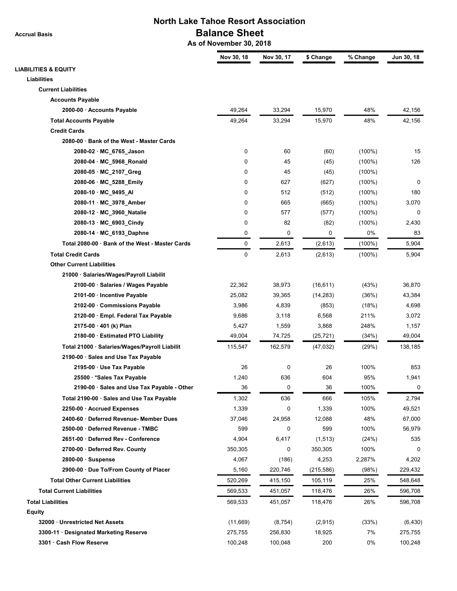**Accrual Basis**

## **North Lake Tahoe Resort Association Balance Sheet**

 **As of November 30, 2018**

|                                                 | Nov 30, 18 | Nov 30, 17 | \$ Change  | % Change  | Jun 30, 18 |
|-------------------------------------------------|------------|------------|------------|-----------|------------|
| <b>LIABILITIES &amp; EQUITY</b>                 |            |            |            |           |            |
| <b>Liabilities</b>                              |            |            |            |           |            |
| <b>Current Liabilities</b>                      |            |            |            |           |            |
| <b>Accounts Payable</b>                         |            |            |            |           |            |
| 2000-00 · Accounts Payable                      | 49,264     | 33,294     | 15,970     | 48%       | 42,156     |
| <b>Total Accounts Payable</b>                   | 49,264     | 33,294     | 15,970     | 48%       | 42,156     |
| <b>Credit Cards</b>                             |            |            |            |           |            |
| 2080-00 · Bank of the West - Master Cards       |            |            |            |           |            |
| 2080-02 · MC 6765 Jason                         | 0          | 60         | (60)       | $(100\%)$ | 15         |
| 2080-04 · MC_5968_Ronald                        | 0          | 45         | (45)       | $(100\%)$ | 126        |
| 2080-05 · MC_2107_Greg                          | 0          | 45         | (45)       | $(100\%)$ |            |
| 2080-06 · MC_5288_Emily                         | 0          | 627        | (627)      | $(100\%)$ | 0          |
| 2080-10 · MC_9495_AI                            | 0          | 512        | (512)      | $(100\%)$ | 180        |
| 2080-11 · MC_3978_Amber                         | 0          | 665        | (665)      | $(100\%)$ | 3,070      |
| 2080-12 · MC_3960_Natalie                       | 0          | 577        | (577)      | $(100\%)$ | 0          |
| 2080-13 · MC_6903_Cindy                         | 0          | 82         | (82)       | $(100\%)$ | 2,430      |
| 2080-14 · MC_6193_Daphne                        | 0          | 0          | 0          | 0%        | 83         |
| Total 2080-00 · Bank of the West - Master Cards | 0          | 2,613      | (2,613)    | $(100\%)$ | 5,904      |
| <b>Total Credit Cards</b>                       | 0          | 2,613      | (2,613)    | $(100\%)$ | 5,904      |
| <b>Other Current Liabilities</b>                |            |            |            |           |            |
| 21000 · Salaries/Wages/Payroll Liabilit         |            |            |            |           |            |
| 2100-00 · Salaries / Wages Payable              | 22,362     | 38,973     | (16, 611)  | (43%)     | 36,870     |
| 2101-00 · Incentive Payable                     | 25,082     | 39,365     | (14, 283)  | (36%)     | 43,384     |
| 2102-00 · Commissions Payable                   | 3,986      | 4,839      | (853)      | (18%)     | 4,698      |
| 2120-00 · Empl. Federal Tax Payable             | 9,686      | 3,118      | 6,568      | 211%      | 3,072      |
| $2175-00 \cdot 401$ (k) Plan                    | 5,427      | 1,559      | 3,868      | 248%      | 1,157      |
| 2180-00 · Estimated PTO Liability               | 49,004     | 74,725     | (25, 721)  | (34%)     | 49,004     |
| Total 21000 · Salaries/Wages/Payroll Liabilit   | 115,547    | 162,579    | (47, 032)  | (29%)     | 138,185    |
| 2190-00 · Sales and Use Tax Payable             |            |            |            |           |            |
| 2195-00 · Use Tax Payable                       | 26         | 0          | 26         | 100%      | 853        |
| 25500 · * Sales Tax Payable                     | 1,240      | 636        | 604        | 95%       | 1,941      |
| 2190-00 · Sales and Use Tax Payable - Other     | 36         | 0          | 36         | 100%      | 0          |
| Total 2190-00 · Sales and Use Tax Payable       | 1,302      | 636        | 666        | 105%      | 2,794      |
| 2250-00 · Accrued Expenses                      | 1,339      | 0          | 1,339      | 100%      | 49,521     |
| 2400-60 · Deferred Revenue- Member Dues         | 37,046     | 24,958     | 12,088     | 48%       | 67,000     |
| 2500-00 · Deferred Revenue - TMBC               | 599        | 0          | 599        | 100%      | 56,979     |
| 2651-00 · Deferred Rev - Conference             | 4,904      | 6,417      | (1, 513)   | (24%)     | 535        |
| 2700-00 · Deferred Rev. County                  | 350,305    | 0          | 350,305    | 100%      | 0          |
| $2800-00 \cdot$ Suspense                        | 4,067      | (186)      | 4,253      | 2,287%    | 4,202      |
| 2900-00 · Due To/From County of Placer          | 5,160      | 220,746    | (215, 586) | (98%)     | 229,432    |
| <b>Total Other Current Liabilities</b>          | 520,269    | 415,150    | 105,119    | 25%       | 548,648    |
| <b>Total Current Liabilities</b>                | 569,533    | 451,057    | 118,476    | 26%       | 596,708    |
| <b>Total Liabilities</b>                        | 569,533    | 451,057    | 118,476    | 26%       | 596,708    |
| Equity                                          |            |            |            |           |            |
| 32000 · Unrestricted Net Assets                 | (11,669)   | (8, 754)   | (2,915)    | (33%)     | (6, 430)   |
| 3300-11 Designated Marketing Reserve            | 275,755    | 256,830    | 18,925     | 7%        | 275,755    |
| 3301 · Cash Flow Reserve                        | 100,248    | 100,048    | 200        | 0%        | 100,248    |
|                                                 |            |            |            |           |            |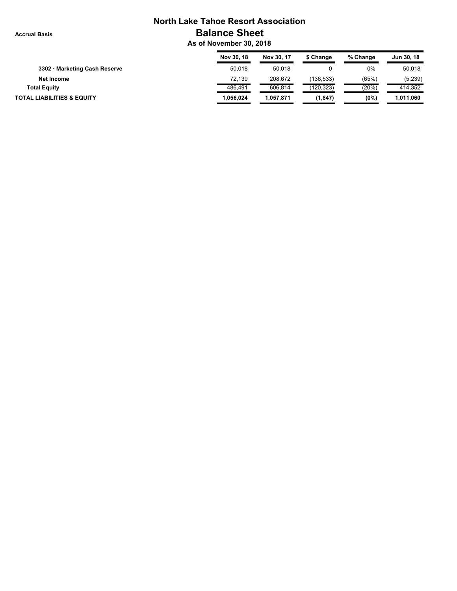**Accrual Basis**

## **North Lake Tahoe Resort Association Balance Sheet**

 **As of November 30, 2018**

|                                       | Nov 30, 18 | Nov 30, 17 | \$ Change  | % Change | Jun 30, 18 |
|---------------------------------------|------------|------------|------------|----------|------------|
| 3302 · Marketing Cash Reserve         | 50.018     | 50,018     |            | 0%       | 50,018     |
| Net Income                            | 72.139     | 208.672    | (136,533)  | (65%)    | (5,239)    |
| <b>Total Equity</b>                   | 486.491    | 606.814    | (120, 323) | (20%)    | 414.352    |
| <b>TOTAL LIABILITIES &amp; EQUITY</b> | 1.056.024  | 1.057.871  | (1, 847)   | (0%)     | 1,011,060  |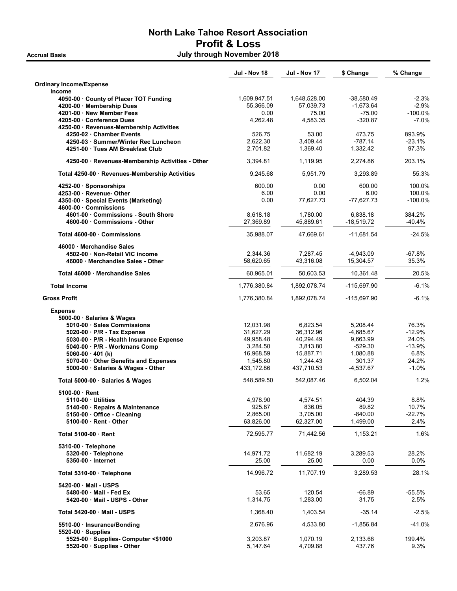### North Lake Tahoe Resort Association Profit & Loss Accrual Basis July through November 2018

Jul - Nov 18 Jul - Nov 17 \$ Change % Change Ordinary Income/Expense Income 4050-00 · County of Placer TOT Funding 1,609,947.51 1,648,528.00 -38,580.49 -2.3% 4200-00 · Membership Dues 55,366.09 57,039.73 -1,673.64 -2.9% 4201-00 · New Member Fees 6.00 · 275.00 · 275.00 · 275.00 · 275.00 · 275.00 · 275.00 · 275.00 · 275.00 · 275.00 4205-00 · Conference Dues 4,262.48 4,583.35 -320.87 -7.0% 4250-00 · Revenues-Membership Activities 4250-02 · Chamber Events 526.75 53.00 473.75 893.9% 4250-03 · Summer/Winter Rec Luncheon 2,622.30 3,409.44 -787.14 -23.1% 4251-00 · Tues AM Breakfast Club 2,701.82 1,369.40 1,332.42 97.3% 4250-00 · Revenues-Membership Activities - Other 3,394.81 1,119.95 2,274.86 203.1% Total 4250-00 · Revenues-Membership Activities  $9,245.68$   $5,951.79$   $3,293.89$   $55.3\%$ 4252-00 · Sponsorships 600.00 0.00 600.00 100.0% 4253-00 · Revenue- Other **6.00 6.00 6.00 6.00 6.00 6.00 6.00** 4350-00 · Special Events (Marketing)  $0.00$  77,627.73 -77,627.73 -100.0% 4600-00 · Commissions 4601-00 · Commissions - South Shore 8,618.18 1,780.00 6,838.18 384.2% 4600-00 · Commissions - Other 27,369.89 45,889.61 -18,519.72 -40.4% Total 4600-00 · Commissions 47,669.07 47,669.61 -11,681.54 -24.5% 46000 · Merchandise Sales 4502-00 · Non-Retail VIC income 2,344.36 7,287.45 -4,943.09 -67.8% 46000 · Merchandise Sales - Other 15.30 · 15.304.57 15.304.57 15.304.57 15.30% Total 46000 · Merchandise Sales 60,965.01 50,603.53 10,361.48 20.5% 1,776,380.84 1,892,078.74 -115,697.90 -6.1% -6.1% -6.1% -6.1% -6.1% -1,776,380.84 -1,892,078.74 Gross Profit 1,776,380.84 1,892,078.74 -115,697.90 -6.1% Expense 5000-00 · Salaries & Wages 5010-00 · Sales Commissions 12,031.98 6,823.54 5,208.44 76.3% <br>5020-00 · P/R - Tay Expense 31.627.29 36.312.96 4.685.67 1.12.9% 5020-00 · P/R - Tax Expense 20 · 21,627.29 36,312.96 · 4,685.67 5030-00 · P/R - Health Insurance Expense 49,958.48 40,294.49 9,663.99 24.0% 5040-00 · P/R - Workmans Comp 3,284.50 3,813.80 -529.30 -13.9% 50**60-00 · 401 (k)** 16,968.59 16,968.59 15,887.71 1,080.88 6.8%<br>5070-00 · Other Benefits and Expenses 1,545.80 1,244.43 301.37 24.2% 5070-00 · Other Benefits and Expenses 5000-00 · Salaries & Wages - Other 433,172.86 437,710.53 -4,537.67 -1.0% Total 5000-00 · Salaries & Wages 6.502.04 548,589.50 542,087.46 6,502.04 1.2% 5100-00 · Rent 5110-00 · Utilities 4,978.90 4,574.51 404.39 8.8% 5140-00 · Repairs & Maintenance 925.87 836.05 89.82 10.7%  $5150-00$   $\cdot$  Office - Cleaning 5100-00 · Rent - Other 63,826.00 62,327.00 1,499.00 2.4% Total 5100-00 · Rent 1.6% 1.153.21 1.6% 1.153.21 1.6% 1.153.21 1.6% 1.153.21 1.6% 5310-00 · Telephone 5320-00 · Telephone 14,971.72 11,682.19 3,289.53 28.2% 5350-00 · Internet 25.00 25.00 0.00 0.0% Total 5310-00 · Telephone 14,996.72 11,707.19 3,289.53 28.1% 5420-00 · Mail - USPS 5480-00 · Mail - Fed Ex 53.65 53.65 53.65 120.54 -66.89 -55.5% 5420-00 · Mail - USPS - Other 1,314.75 1,283.00 31.75 2.5% Total 5420-00 · Mail - USPS 1,368.40 1,368.40 1,403.54 -35.14 -2.5% 5510-00 · Insurance/Bonding 2,676.96 4,533.80 -1,856.84 -41.0% 5520-00 · Supplies 5525-00 · Supplies- Computer <\$1000 3,203.87 1,070.19 2,133.68 199.4%  $5520-00 \cdot$  Supplies - Other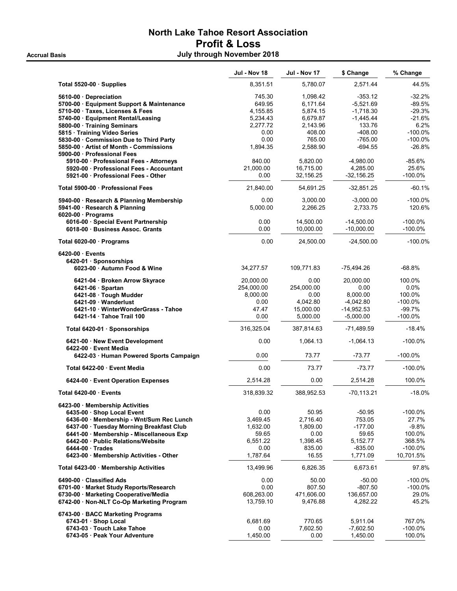## North Lake Tahoe Resort Association Profit & Loss Accrual Basis **Accrual Basis Accrual Basis Accrual Basis Accrual Basis Accrual Basis Accrual Basis Accrual Basis**

|                                           | <b>Jul - Nov 18</b> | <b>Jul - Nov 17</b> | \$ Change     | % Change   |
|-------------------------------------------|---------------------|---------------------|---------------|------------|
| Total 5520-00 · Supplies                  | 8,351.51            | 5,780.07            | 2,571.44      | 44.5%      |
| 5610-00 Depreciation                      | 745.30              | 1,098.42            | $-353.12$     | $-32.2%$   |
| 5700-00 · Equipment Support & Maintenance | 649.95              | 6.171.64            | $-5,521.69$   | $-89.5%$   |
| 5710-00 · Taxes, Licenses & Fees          | 4,155.85            | 5,874.15            | $-1,718.30$   | $-29.3%$   |
| 5740-00 · Equipment Rental/Leasing        | 5,234.43            | 6,679.87            | $-1,445.44$   | $-21.6%$   |
| 5800-00 · Training Seminars               | 2,277.72            | 2,143.96            | 133.76        | 6.2%       |
| 5815 · Training Video Series              | 0.00                | 408.00              | $-408.00$     | -100.0%    |
| 5830-00 Commission Due to Third Party     | 0.00                | 765.00              | $-765.00$     | $-100.0%$  |
| 5850-00 Artist of Month - Commissions     | 1,894.35            | 2,588.90            | $-694.55$     | $-26.8%$   |
| 5900-00 Professional Fees                 |                     |                     |               |            |
| 5910-00 · Professional Fees - Attorneys   | 840.00              | 5,820.00            | $-4,980.00$   | -85.6%     |
| 5920-00 Professional Fees - Accountant    | 21,000.00           | 16,715.00           | 4,285.00      | 25.6%      |
| 5921-00 Professional Fees - Other         |                     | 32,156.25           |               | $-100.0%$  |
|                                           | 0.00                |                     | $-32,156.25$  |            |
| Total 5900-00 Professional Fees           | 21,840.00           | 54,691.25           | -32,851.25    | $-60.1%$   |
| 5940-00 · Research & Planning Membership  | 0.00                | 3,000.00            | $-3,000.00$   | $-100.0%$  |
| 5941-00 · Research & Planning             | 5,000.00            | 2,266.25            | 2,733.75      | 120.6%     |
| $6020-00$ · Programs                      |                     |                     |               |            |
| 6016-00 · Special Event Partnership       | 0.00                | 14,500.00           | $-14,500.00$  | $-100.0\%$ |
| 6018-00 · Business Assoc. Grants          | 0.00                | 10,000.00           | $-10,000.00$  | $-100.0%$  |
| Total 6020-00 $\cdot$ Programs            | 0.00                | 24,500.00           | $-24,500.00$  | $-100.0%$  |
| $6420-00$ Events                          |                     |                     |               |            |
| 6420-01 · Sponsorships                    |                     |                     |               |            |
| 6023-00 · Autumn Food & Wine              | 34,277.57           | 109,771.83          | $-75,494.26$  | $-68.8%$   |
| 6421-04 · Broken Arrow Skyrace            | 20,000.00           | 0.00                | 20,000.00     | 100.0%     |
| $6421-06$ · Spartan                       | 254,000.00          | 254,000.00          | 0.00          | $0.0\%$    |
| 6421-08 · Tough Mudder                    | 8,000.00            | 0.00                | 8,000.00      | 100.0%     |
| 6421-09 Wanderlust                        | 0.00                | 4,042.80            | $-4,042.80$   | $-100.0%$  |
| 6421-10 WinterWonderGrass - Tahoe         | 47.47               | 15,000.00           | $-14,952.53$  | $-99.7%$   |
| 6421-14 Tahoe Trail 100                   | 0.00                | 5,000.00            | $-5,000.00$   | $-100.0%$  |
| Total 6420-01 · Sponsorships              | 316,325.04          | 387,814.63          | -71,489.59    | $-18.4%$   |
| 6421-00 · New Event Development           | 0.00                | 1,064.13            | $-1,064.13$   | $-100.0%$  |
| 6422-00 · Event Media                     |                     |                     |               |            |
| 6422-03 · Human Powered Sports Campaign   | 0.00                | 73.77               | $-73.77$      | $-100.0\%$ |
| Total 6422-00 Event Media                 | 0.00                | 73.77               | $-73.77$      | $-100.0\%$ |
| 6424-00 Event Operation Expenses          | 2,514.28            | 0.00                | 2,514.28      | 100.0%     |
| Total 6420-00 Events                      | 318,839.32          | 388,952.53          | $-70, 113.21$ | $-18.0%$   |
| 6423-00 · Membership Activities           |                     |                     |               |            |
| 6435-00 · Shop Local Event                | 0.00                | 50.95               | $-50.95$      | $-100.0%$  |
| 6436-00 Membership - Wnt/Sum Rec Lunch    | 3,469.45            | 2,716.40            | 753.05        | 27.7%      |
| 6437-00 · Tuesday Morning Breakfast Club  | 1,632.00            | 1,809.00            | $-177.00$     | $-9.8%$    |
| 6441-00 · Membership - Miscellaneous Exp  | 59.65               | 0.00                | 59.65         | 100.0%     |
| 6442-00 Public Relations/Website          | 6,551.22            | 1,398.45            | 5,152.77      | 368.5%     |
| 6444-00 Trades                            | 0.00                | 835.00              | $-835.00$     | $-100.0\%$ |
| 6423-00 Membership Activities - Other     | 1,787.64            | 16.55               | 1,771.09      | 10,701.5%  |
| Total 6423-00 · Membership Activities     | 13,499.96           | 6,826.35            | 6,673.61      | 97.8%      |
| 6490-00 Classified Ads                    | 0.00                | 50.00               | $-50.00$      | $-100.0%$  |
| 6701-00 · Market Study Reports/Research   | 0.00                | 807.50              | $-807.50$     | $-100.0%$  |
| 6730-00 · Marketing Cooperative/Media     | 608,263.00          | 471,606.00          | 136,657.00    | 29.0%      |
| 6742-00 · Non-NLT Co-Op Marketing Program | 13,759.10           | 9,476.88            | 4,282.22      | 45.2%      |
| 6743-00 · BACC Marketing Programs         |                     |                     |               |            |
| 6743-01 · Shop Local                      | 6,681.69            | 770.65              | 5,911.04      | 767.0%     |
| 6743-03 Touch Lake Tahoe                  | 0.00                | 7,602.50            | $-7,602.50$   | $-100.0%$  |
| 6743-05 · Peak Your Adventure             | 1,450.00            | 0.00                | 1,450.00      | 100.0%     |
|                                           |                     |                     |               |            |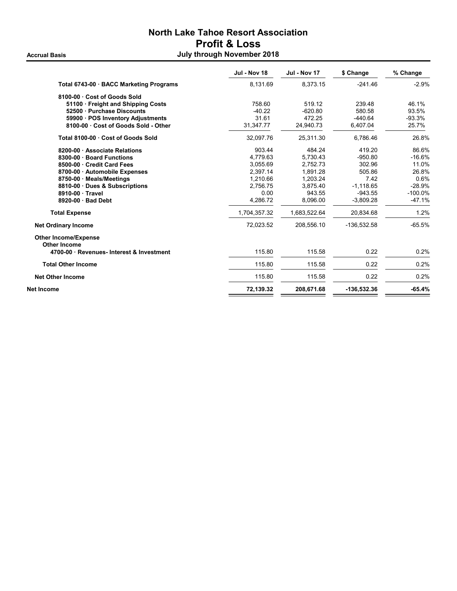## North Lake Tahoe Resort Association Profit & Loss Accrual Basis **Accrual Basis Accrual Basis Accrual Basis Accrual Basis Accrual Basis Accrual Basis Accrual Basis**

|                                             | <b>Jul - Nov 18</b> | <b>Jul - Nov 17</b> | \$ Change   | % Change  |
|---------------------------------------------|---------------------|---------------------|-------------|-----------|
| Total 6743-00 · BACC Marketing Programs     | 8,131.69            | 8.373.15            | $-241.46$   | $-2.9%$   |
| 8100-00 Cost of Goods Sold                  |                     |                     |             |           |
| 51100 Freight and Shipping Costs            | 758.60              | 519.12              | 239.48      | 46.1%     |
| 52500 Purchase Discounts                    | $-40.22$            | $-620.80$           | 580.58      | 93.5%     |
| 59900 · POS Inventory Adjustments           | 31.61               | 472.25              | $-440.64$   | $-93.3%$  |
| 8100-00 Cost of Goods Sold - Other          | 31,347.77           | 24,940.73           | 6,407.04    | 25.7%     |
| Total 8100-00 Cost of Goods Sold            | 32,097.76           | 25,311.30           | 6.786.46    | 26.8%     |
| 8200-00 Associate Relations                 | 903.44              | 484.24              | 419.20      | 86.6%     |
| 8300-00 · Board Functions                   | 4.779.63            | 5.730.43            | $-950.80$   | $-16.6%$  |
| 8500-00 Credit Card Fees                    | 3.055.69            | 2.752.73            | 302.96      | 11.0%     |
| 8700-00 Automobile Expenses                 | 2.397.14            | 1.891.28            | 505.86      | 26.8%     |
| 8750-00 Meals/Meetings                      | 1.210.66            | 1.203.24            | 7.42        | 0.6%      |
| 8810-00 Dues & Subscriptions                | 2.756.75            | 3,875.40            | $-1,118.65$ | $-28.9%$  |
| 8910-00 Travel                              | 0.00                | 943.55              | $-943.55$   | $-100.0%$ |
| 8920-00 Bad Debt                            | 4,286.72            | 8,096.00            | $-3,809.28$ | $-47.1%$  |
| <b>Total Expense</b>                        | 1,704,357.32        | 1,683,522.64        | 20,834.68   | 1.2%      |
| <b>Net Ordinary Income</b>                  | 72,023.52           | 208,556.10          | -136,532.58 | $-65.5%$  |
| <b>Other Income/Expense</b><br>Other Income |                     |                     |             |           |
| 4700-00 Revenues- Interest & Investment     | 115.80              | 115.58              | 0.22        | 0.2%      |
| <b>Total Other Income</b>                   | 115.80              | 115.58              | 0.22        | 0.2%      |
| <b>Net Other Income</b>                     | 115.80              | 115.58              | 0.22        | 0.2%      |
| Net Income                                  | 72,139.32           | 208,671.68          | -136,532.36 | $-65.4%$  |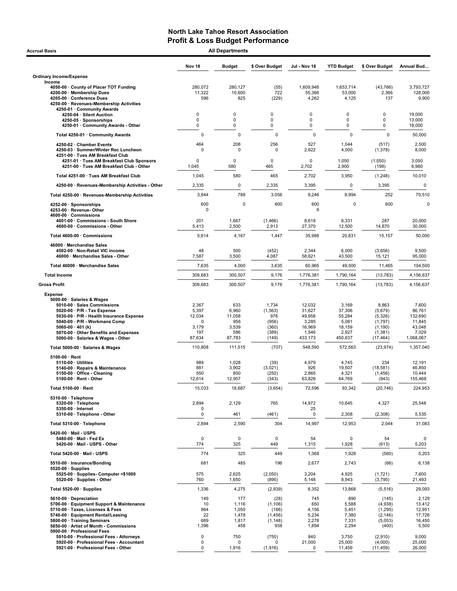| <b>Accrual Basis</b>                                                                                                                                                                                                                                                                |                                                                | <b>All Departments</b>                                  |                                                              |                                                                   |                                                                  |                                                                             |                                                                      |
|-------------------------------------------------------------------------------------------------------------------------------------------------------------------------------------------------------------------------------------------------------------------------------------|----------------------------------------------------------------|---------------------------------------------------------|--------------------------------------------------------------|-------------------------------------------------------------------|------------------------------------------------------------------|-----------------------------------------------------------------------------|----------------------------------------------------------------------|
|                                                                                                                                                                                                                                                                                     | Nov 18                                                         | <b>Budget</b>                                           | \$ Over Budget                                               | Jul - Nov 18                                                      | <b>YTD Budget</b>                                                | \$ Over Budget                                                              | Annual Bud                                                           |
| <b>Ordinary Income/Expense</b>                                                                                                                                                                                                                                                      |                                                                |                                                         |                                                              |                                                                   |                                                                  |                                                                             |                                                                      |
| Income<br>4050-00 County of Placer TOT Funding<br>4200-00 · Membership Dues<br>4205-00 · Conference Dues                                                                                                                                                                            | 280,072<br>11,322<br>596                                       | 280,127<br>10,600<br>825                                | (55)<br>722<br>(229)                                         | 1,609,948<br>55,366<br>4,262                                      | 1,653,714<br>53,000<br>4,125                                     | (43, 766)<br>2,366<br>137                                                   | 3.793.727<br>128,000<br>9,900                                        |
| 4250-00 · Revenues-Membership Activities<br>4250-01 · Community Awards                                                                                                                                                                                                              |                                                                |                                                         |                                                              |                                                                   |                                                                  |                                                                             |                                                                      |
| 4250-04 · Silent Auction                                                                                                                                                                                                                                                            | 0<br>$\mathbf 0$                                               | 0                                                       | $\Omega$<br>$\Omega$                                         | 0<br>0                                                            | 0<br>0                                                           | 0<br>0                                                                      | 19,000                                                               |
| 4250-05 · Sponsorships<br>4250-01 Community Awards - Other                                                                                                                                                                                                                          | 0                                                              | 0<br>0                                                  | 0                                                            | 0                                                                 | 0                                                                | 0                                                                           | 13,000<br>18,000                                                     |
| Total 4250-01 · Community Awards                                                                                                                                                                                                                                                    | 0                                                              | 0                                                       | $\mathbf 0$                                                  | 0                                                                 | $\mathbf 0$                                                      | $\mathbf 0$                                                                 | 50,000                                                               |
| 4250-02 · Chamber Events                                                                                                                                                                                                                                                            | 464                                                            | 208                                                     | 256                                                          | 527                                                               | 1,044                                                            | (517)                                                                       | 2,500                                                                |
| 4250-03 · Summer/Winter Rec Luncheon<br>4251-00 · Tues AM Breakfast Club                                                                                                                                                                                                            | $\Omega$                                                       | $\Omega$                                                | $\Omega$                                                     | 2,622                                                             | 4,000                                                            | (1, 378)                                                                    | 8,000                                                                |
| 4251-01 · Tues AM Breakfast Club Sponsors<br>4251-00 · Tues AM Breakfast Club - Other                                                                                                                                                                                               | 0<br>1,045                                                     | 0<br>580                                                | $\Omega$<br>465                                              | 0<br>2,702                                                        | 1,050<br>2,900                                                   | (1,050)<br>(198)                                                            | 3,050<br>6,960                                                       |
| Total 4251-00 · Tues AM Breakfast Club                                                                                                                                                                                                                                              | 1,045                                                          | 580                                                     | 465                                                          | 2,702                                                             | 3,950                                                            | (1, 248)                                                                    | 10,010                                                               |
| 4250-00 · Revenues-Membership Activities - Other                                                                                                                                                                                                                                    | 2,335                                                          | 0                                                       | 2,335                                                        | 3,395                                                             | 0                                                                | 3,395                                                                       | $\pmb{0}$                                                            |
| Total 4250-00 · Revenues-Membership Activities                                                                                                                                                                                                                                      | 3,844                                                          | 788                                                     | 3,056                                                        | 9,246                                                             | 8,994                                                            | 252                                                                         | 70,510                                                               |
| 4252-00 · Sponsorships<br>4253-00 · Revenue-Other                                                                                                                                                                                                                                   | 600<br>$\mathbf 0$                                             | $\mathbf 0$                                             | 600                                                          | 600<br>6                                                          | 0                                                                | 600                                                                         | 0                                                                    |
| 4600-00 Commissions<br>4601-00 Commissions - South Shore                                                                                                                                                                                                                            | 201                                                            | 1,667                                                   | (1, 466)                                                     | 8,618                                                             | 8,331                                                            | 287                                                                         | 20,000                                                               |
| 4600-00 · Commissions - Other                                                                                                                                                                                                                                                       | 5,413                                                          | 2,500                                                   | 2,913                                                        | 27,370                                                            | 12,500                                                           | 14,870                                                                      | 30,000                                                               |
| Total 4600-00 · Commissions                                                                                                                                                                                                                                                         | 5,614                                                          | 4,167                                                   | 1,447                                                        | 35,988                                                            | 20,831                                                           | 15,157                                                                      | 50,000                                                               |
| 46000 · Merchandise Sales<br>4502-00 · Non-Retail VIC income<br>46000 · Merchandise Sales - Other                                                                                                                                                                                   | 48<br>7,587                                                    | 500<br>3,500                                            | (452)<br>4,087                                               | 2,344<br>58,621                                                   | 6,000<br>43,500                                                  | (3,656)<br>15,121                                                           | 9,500<br>95,000                                                      |
| Total 46000 · Merchandise Sales                                                                                                                                                                                                                                                     | 7,635                                                          | 4,000                                                   | 3,635                                                        | 60,965                                                            | 49,500                                                           | 11,465                                                                      | 104,500                                                              |
| <b>Total Income</b>                                                                                                                                                                                                                                                                 | 309,683                                                        | 300,507                                                 | 9,176                                                        | 1,776,381                                                         | 1,790,164                                                        | (13, 783)                                                                   | 4,156,637                                                            |
| <b>Gross Profit</b>                                                                                                                                                                                                                                                                 | 309,683                                                        | 300,507                                                 | 9,176                                                        | 1,776,381                                                         | 1,790,164                                                        | (13, 783)                                                                   | 4,156,637                                                            |
| <b>Expense</b>                                                                                                                                                                                                                                                                      |                                                                |                                                         |                                                              |                                                                   |                                                                  |                                                                             |                                                                      |
| 5000-00 · Salaries & Wages<br>5010-00 · Sales Commissions<br>5020-00 $\cdot$ P/R - Tax Expense<br>5030-00 · P/R - Health Insurance Expense<br>5040-00 · P/R - Workmans Comp<br>5060-00 $\cdot$ 401 (k)<br>5070-00 Other Benefits and Expenses<br>5000-00 · Salaries & Wages - Other | 2,367<br>5,397<br>12,034<br>$\Omega$<br>3,179<br>197<br>87,634 | 633<br>6,960<br>11,058<br>956<br>3,539<br>586<br>87,783 | 1,734<br>(1, 563)<br>976<br>(956)<br>(360)<br>(389)<br>(149) | 12,032<br>31,627<br>49,958<br>3,285<br>16,969<br>1,546<br>433,173 | 3,169<br>37,306<br>55,284<br>5,081<br>18,159<br>2,927<br>450,637 | 8,863<br>(5,679)<br>(5,326)<br>(1,797)<br>(1, 190)<br>(1, 381)<br>(17, 464) | 7,600<br>86,761<br>132,690<br>11,845<br>43,048<br>7,029<br>1,068,067 |
| Total 5000-00 · Salaries & Wages                                                                                                                                                                                                                                                    | 110,808                                                        | 111,515                                                 | (707)                                                        | 548,590                                                           | 572,563                                                          | (23, 974)                                                                   | 1,357,040                                                            |
| $5100-00 \cdot$ Rent                                                                                                                                                                                                                                                                |                                                                |                                                         |                                                              |                                                                   |                                                                  |                                                                             |                                                                      |
| $5110-00 \cdot$ Utilities<br>5140-00 · Repairs & Maintenance<br>5150-00 · Office - Cleaning<br>5100-00 · Rent - Other                                                                                                                                                               | 989<br>881<br>550<br>12,614                                    | 1,028<br>3,902<br>800<br>12,957                         | (39)<br>(3,021)<br>(250)<br>(343)                            | 4,979<br>926<br>2,865<br>63,826                                   | 4,745<br>19,507<br>4,321<br>64,769                               | 234<br>(18, 581)<br>(1,456)<br>(943)                                        | 12,191<br>46,850<br>10,444<br>155,468                                |
| Total 5100-00 · Rent                                                                                                                                                                                                                                                                | 15,033                                                         | 18,687                                                  | (3,654)                                                      | 72,596                                                            | 93,342                                                           | (20, 746)                                                                   | 224,953                                                              |
| 5310-00 · Telephone<br>5320-00 · Telephone                                                                                                                                                                                                                                          | 2,894                                                          | 2,129                                                   | 765                                                          | 14,972                                                            | 10,645                                                           | 4,327                                                                       | 25,548                                                               |
| 5350-00 · Internet<br>5310-00 · Telephone - Other                                                                                                                                                                                                                                   | 0<br>0                                                         | 461                                                     | (461)                                                        | 25<br>0                                                           | 2,308                                                            | (2,308)                                                                     | 5,535                                                                |
| Total 5310-00 · Telephone                                                                                                                                                                                                                                                           | 2,894                                                          | 2,590                                                   | 304                                                          | 14,997                                                            | 12,953                                                           | 2,044                                                                       | 31,083                                                               |
| 5420-00 Mail - USPS<br>5480-00 Mail Fed Ex<br>5420-00 · Mail - USPS - Other                                                                                                                                                                                                         | $\pmb{0}$                                                      | $\mathbf 0$                                             | $\mathsf 0$<br>449                                           | 54                                                                | 0                                                                | 54                                                                          | 0                                                                    |
| Total 5420-00 · Mail - USPS                                                                                                                                                                                                                                                         | 774<br>774                                                     | 325<br>325                                              | 449                                                          | 1,315<br>1,368                                                    | 1,928<br>1,928                                                   | (613)<br>(560)                                                              | 5,203<br>5,203                                                       |
| 5510-00 · Insurance/Bonding                                                                                                                                                                                                                                                         | 681                                                            | 485                                                     | 196                                                          | 2,677                                                             | 2,743                                                            | (66)                                                                        | 6,138                                                                |
| $5520-00 \cdot$ Supplies                                                                                                                                                                                                                                                            |                                                                |                                                         |                                                              |                                                                   |                                                                  |                                                                             |                                                                      |
| 5525-00 · Supplies- Computer <\$1000<br>5520-00 · Supplies - Other                                                                                                                                                                                                                  | 575<br>760                                                     | 2,625<br>1,650                                          | (2,050)<br>(890)                                             | 3,204<br>5,148                                                    | 4,925<br>8,943                                                   | (1, 721)<br>(3,795)                                                         | 7,600<br>21,493                                                      |
| Total 5520-00 · Supplies                                                                                                                                                                                                                                                            | 1,336                                                          | 4,275                                                   | (2,939)                                                      | 8,352                                                             | 13,868                                                           | (5, 516)                                                                    | 29,093                                                               |
| 5610-00 · Depreciation<br>5700-00 · Equipment Support & Maintenance<br>5710-00 · Taxes, Licenses & Fees                                                                                                                                                                             | 149<br>10<br>864                                               | 177<br>1,116<br>1,050                                   | (28)<br>(1, 106)<br>(186)                                    | 745<br>650<br>4,156                                               | 890<br>5,588<br>5,451                                            | (145)<br>(4,938)<br>(1,295)                                                 | 2,129<br>13,412<br>12,951                                            |
| 5740-00 · Equipment Rental/Leasing                                                                                                                                                                                                                                                  | 22<br>669                                                      | 1,478                                                   | (1, 456)                                                     | 5,234                                                             | 7,380                                                            | (2, 146)                                                                    | 17,726                                                               |
| 5800-00 · Training Seminars<br>5850-00 · Artist of Month - Commissions                                                                                                                                                                                                              | 1,396                                                          | 1,817<br>458                                            | (1, 148)<br>938                                              | 2,278<br>1,894                                                    | 7,331<br>2,294                                                   | (5,053)<br>(400)                                                            | 16,450<br>5,500                                                      |
| 5900-00 · Professional Fees<br>5910-00 · Professional Fees - Attorneys<br>5920-00 · Professional Fees - Accountant<br>5921-00 · Professional Fees - Other                                                                                                                           | 0<br>0<br>0                                                    | 750<br>$\Omega$<br>1,916                                | (750)<br>0<br>(1,916)                                        | 840<br>21,000<br>0                                                | 3,750<br>25,000<br>11,459                                        | (2,910)<br>(4,000)<br>(11, 459)                                             | 9,000<br>25,000<br>26,000                                            |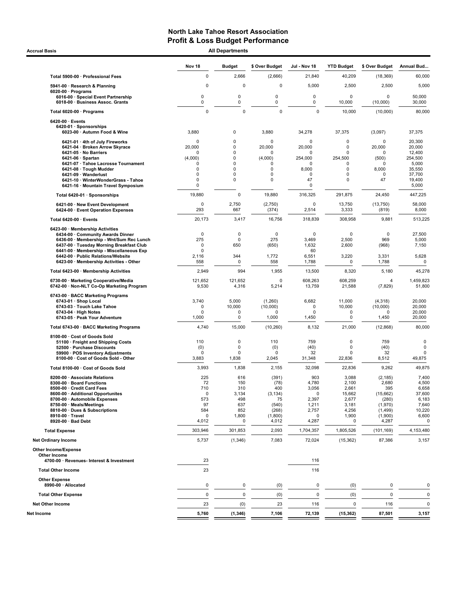**Accrual Basis** 

| <b>All Departments</b> |  |
|------------------------|--|

|                                                                                      | <b>Nov 18</b>          | <b>Budget</b>              | \$ Over Budget        | Jul - Nov 18          | <b>YTD Budget</b>          | \$ Over Budget        | Annual Bud                 |
|--------------------------------------------------------------------------------------|------------------------|----------------------------|-----------------------|-----------------------|----------------------------|-----------------------|----------------------------|
| Total 5900-00 · Professional Fees                                                    | $\pmb{0}$              | 2,666                      | (2,666)               | 21,840                | 40,209                     | (18, 369)             | 60,000                     |
| 5941-00 · Research & Planning                                                        | $\mathbf 0$            | 0                          | $\Omega$              | 5,000                 | 2,500                      | 2,500                 | 5,000                      |
| $6020-00 \cdot$ Programs<br>6016-00 · Special Event Partnership                      | 0                      | 0                          | $\Omega$              | 0                     | 0                          | $\Omega$              | 50,000                     |
| 6018-00 · Business Assoc. Grants                                                     | 0                      | 0                          | 0                     | 0                     | 10,000                     | (10,000)              | 30,000                     |
| Total 6020-00 · Programs                                                             | $\mathbf 0$            | $\pmb{0}$                  | $\Omega$              | $\mathbf 0$           | 10,000                     | (10,000)              | 80,000                     |
| 6420-00 · Events<br>6420-01 · Sponsorships                                           |                        |                            |                       |                       |                            |                       |                            |
| 6023-00 · Autumn Food & Wine                                                         | 3,880                  | 0                          | 3,880                 | 34,278                | 37,375                     | (3,097)               | 37,375                     |
| 6421-01 · 4th of July Fireworks<br>6421-04 · Broken Arrow Skyrace                    | $\mathbf 0$<br>20,000  | 0<br>0                     | $\mathbf 0$<br>20,000 | $\mathbf 0$<br>20,000 | 0<br>0                     | 0<br>20,000           | 20,300<br>20,000           |
| 6421-05 · No Barriers                                                                | n                      | 0                          | n                     | O                     | 0                          | n                     | 12,400                     |
| 6421-06 · Spartan<br>6421-07 · Tahoe Lacrosse Tournament                             | (4,000)<br>$\mathbf 0$ | 0<br>0                     | (4,000)<br>$\Omega$   | 254.000<br>$\Omega$   | 254,500<br>0               | (500)<br><sup>0</sup> | 254,500<br>5,000           |
| 6421-08 · Tough Mudder<br>6421-09 · Wanderlust                                       | 0<br>$\mathbf 0$       | 0<br>0                     | 0<br>0                | 8,000<br>$\mathbf 0$  | 0<br>$\Omega$              | 8,000<br>0            | 35,550<br>37,700           |
| 6421-10 · WinterWonderGrass - Tahoe                                                  | $\mathbf 0$            | 0                          | 0                     | 47                    | $\mathbf 0$                | 47                    | 19,400                     |
| 6421-16 · Mountain Travel Symposium                                                  | 0                      |                            |                       | $\mathbf 0$           |                            |                       | 5,000                      |
| Total 6420-01 · Sponsorships                                                         | 19,880<br>$\mathbf 0$  | 0<br>2,750                 | 19,880                | 316,325<br>0          | 291,875                    | 24,450<br>(13,750)    | 447,225<br>58,000          |
| 6421-00 · New Event Development<br>6424-00 · Event Operation Expenses                | 293                    | 667                        | (2,750)<br>(374)      | 2,514                 | 13,750<br>3,333            | (819)                 | 8,000                      |
| Total 6420-00 · Events                                                               | 20,173                 | 3,417                      | 16,756                | 318,839               | 308,958                    | 9,881                 | 513,225                    |
| 6423-00 · Membership Activities                                                      |                        |                            |                       |                       |                            |                       |                            |
| 6434-00 · Community Awards Dinner<br>6436-00 · Membership - Wnt/Sum Rec Lunch        | 0<br>275               | 0<br>$\mathbf 0$           | $\mathbf 0$<br>275    | 0<br>3,469            | $\mathbf 0$<br>2,500       | 0<br>969              | 27,500<br>5,000            |
| 6437-00 · Tuesday Morning Breakfast Club<br>6441-00 · Membership - Miscellaneous Exp | 0<br>$\Omega$          | 650                        | (650)                 | 1,632<br>60           | 2,600                      | (968)                 | 7,150                      |
| 6442-00 · Public Relations/Website<br>6423-00 · Membership Activities - Other        | 2,116<br>558           | 344<br>0                   | 1,772<br>558          | 6,551<br>1,788        | 3,220<br>0                 | 3,331<br>1,788        | 5,628<br>$\mathbf 0$       |
| Total 6423-00 Membership Activities                                                  | 2,949                  | 994                        | 1,955                 | 13,500                | 8,320                      | 5,180                 | 45,278                     |
| 6730-00 · Marketing Cooperative/Media                                                | 121,652                | 121,652                    | $\Omega$              | 608,263               | 608,259                    | $\overline{4}$        | 1,459,823                  |
| 6742-00 · Non-NLT Co-Op Marketing Program                                            | 9,530                  | 4,316                      | 5,214                 | 13,759                | 21,588                     | (7, 829)              | 51,800                     |
| 6743-00 · BACC Marketing Programs                                                    | 3,740                  | 5,000                      | (1,260)               | 6,682                 | 11,000                     | (4, 318)              | 20,000                     |
| 6743-01 · Shop Local<br>6743-03 · Touch Lake Tahoe                                   | 0                      | 10,000                     | (10,000)              | 0                     | 10,000                     | (10,000)              | 20,000                     |
| $6743-04 \cdot$ High Notes<br>6743-05 · Peak Your Adventure                          | 0<br>1,000             | $\mathbf 0$<br>0           | O<br>1,000            | 0<br>1,450            | $\mathbf 0$<br>0           | 0<br>1,450            | 20,000<br>20,000           |
| Total 6743-00 · BACC Marketing Programs                                              | 4,740                  | 15,000                     | (10, 260)             | 8,132                 | 21,000                     | (12, 868)             | 80,000                     |
| 8100-00 Cost of Goods Sold                                                           |                        |                            |                       |                       |                            |                       |                            |
| 51100 · Freight and Shipping Costs<br>52500 · Purchase Discounts                     | 110<br>(0)             | $\mathbf 0$<br>$\mathbf 0$ | 110<br>(0)            | 759<br>(40)           | $\mathbf 0$<br>$\mathbf 0$ | 759<br>(40)           | $\mathsf 0$<br>$\mathbf 0$ |
| 59900 · POS Inventory Adjustments                                                    | 0                      | $\mathbf 0$                | $\Omega$              | 32                    | $\Omega$                   | 32                    | $\mathbf 0$                |
| 8100-00 · Cost of Goods Sold - Other                                                 | 3,883                  | 1,838                      | 2,045                 | 31,348                | 22,836                     | 8,512                 | 49,875                     |
| Total 8100-00 · Cost of Goods Sold                                                   | 3,993                  | 1,838                      | 2,155                 | 32,098                | 22,836                     | 9,262                 | 49,875                     |
| 8200-00 · Associate Relations<br>8300-00 · Board Functions                           | 225<br>72              | 616<br>150                 | (391)<br>(78)         | 903<br>4,780          | 3,088<br>2,100             | (2, 185)<br>2,680     | 7,400<br>4,500             |
| 8500-00 · Credit Card Fees                                                           | 710<br>0               | 310                        | 400<br>(3, 134)       | 3,056<br>0            | 2,661                      | 395                   | 6,658<br>37,600            |
| 8600-00 · Additional Opportunites<br>8700-00 · Automobile Expenses                   | 573                    | 3,134<br>498               | 75                    | 2,397                 | 15,662<br>2,677            | (15,662)<br>(280)     | 6,183                      |
| 8750-00 · Meals/Meetings                                                             | 97                     | 637                        | (540)                 | 1,211                 | 3,181                      | (1,970)               | 7,640                      |
| 8810-00 · Dues & Subscriptions<br>8910-00 · Travel                                   | 584<br>0               | 852<br>1,800               | (268)<br>(1,800)      | 2,757<br>0            | 4,256<br>1,900             | (1, 499)<br>(1,900)   | 10,220<br>6,600            |
| 8920-00 · Bad Debt                                                                   | 4,012                  | 0                          | 4,012                 | 4,287                 | 0                          | 4,287                 | 0                          |
| <b>Total Expense</b>                                                                 | 303,946                | 301,853                    | 2,093                 | 1,704,357             | 1,805,526                  | (101, 169)            | 4,153,480                  |
| <b>Net Ordinary Income</b>                                                           | 5,737                  | (1, 346)                   | 7,083                 | 72,024                | (15, 362)                  | 87,386                | 3,157                      |
| Other Income/Expense<br>Other Income                                                 |                        |                            |                       |                       |                            |                       |                            |
| 4700-00 · Revenues- Interest & Investment                                            | 23                     |                            |                       | 116                   |                            |                       |                            |
| <b>Total Other Income</b>                                                            | 23                     |                            |                       | 116                   |                            |                       |                            |
| <b>Other Expense</b><br>8990-00 · Allocated                                          | 0                      | 0                          | (0)                   | 0                     | (0)                        | $\pmb{0}$             | 0                          |
| <b>Total Other Expense</b>                                                           | 0                      | $\pmb{0}$                  | (0)                   | 0                     | (0)                        | $\mathbf 0$           | $\mathbf 0$                |
| <b>Net Other Income</b>                                                              | 23                     | (0)                        | 23                    | 116                   | 0                          | 116                   | 0                          |
| Net Income                                                                           | 5,760                  | (1, 346)                   | 7,106                 | 72,139                | (15, 362)                  | 87,501                | 3,157                      |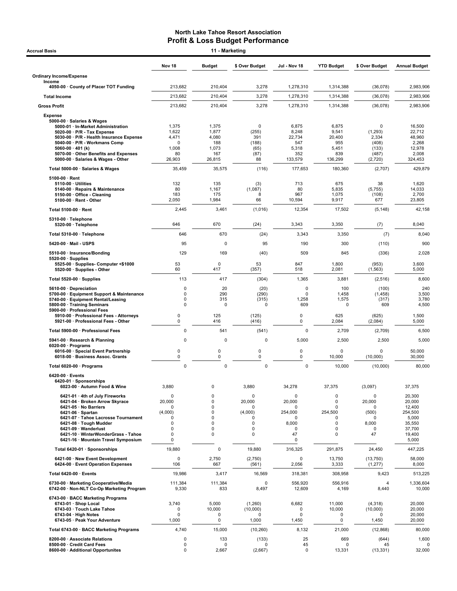| <b>Accrual Basis</b>                                                                                                                                                                                                                                                                       |                                                                | 11 - Marketing                                                                                 |                                                        |                                                            |                                                                |                                                                        |                                                                                       |
|--------------------------------------------------------------------------------------------------------------------------------------------------------------------------------------------------------------------------------------------------------------------------------------------|----------------------------------------------------------------|------------------------------------------------------------------------------------------------|--------------------------------------------------------|------------------------------------------------------------|----------------------------------------------------------------|------------------------------------------------------------------------|---------------------------------------------------------------------------------------|
|                                                                                                                                                                                                                                                                                            | Nov <sub>18</sub>                                              | <b>Budget</b>                                                                                  | \$ Over Budget                                         | Jul - Nov 18                                               | <b>YTD Budget</b>                                              | \$ Over Budget                                                         | <b>Annual Budget</b>                                                                  |
| <b>Ordinary Income/Expense</b>                                                                                                                                                                                                                                                             |                                                                |                                                                                                |                                                        |                                                            |                                                                |                                                                        |                                                                                       |
| Income<br>4050-00 County of Placer TOT Funding                                                                                                                                                                                                                                             | 213,682                                                        | 210,404                                                                                        | 3,278                                                  | 1.278.310                                                  | 1,314,388                                                      | (36,078)                                                               | 2,983,906                                                                             |
| <b>Total Income</b>                                                                                                                                                                                                                                                                        | 213,682                                                        | 210,404                                                                                        | 3,278                                                  | 1,278,310                                                  | 1,314,388                                                      | (36,078)                                                               | 2,983,906                                                                             |
| <b>Gross Profit</b>                                                                                                                                                                                                                                                                        | 213,682                                                        | 210,404                                                                                        | 3,278                                                  | 1,278,310                                                  | 1,314,388                                                      | (36,078)                                                               | 2,983,906                                                                             |
| <b>Expense</b>                                                                                                                                                                                                                                                                             |                                                                |                                                                                                |                                                        |                                                            |                                                                |                                                                        |                                                                                       |
| 5000-00 · Salaries & Wages<br>5000-01 · In-Market Administration<br>$5020-00 \cdot P/R$ - Tax Expense<br>5030-00 · P/R - Health Insurance Expense<br>5040-00 · P/R - Workmans Comp<br>5060-00 $\cdot$ 401 (k)<br>5070-00 Other Benefits and Expenses<br>5000-00 · Salaries & Wages - Other | 1,375<br>1,622<br>4,471<br>0<br>1,008<br>80<br>26,903          | 1,375<br>1,877<br>4,080<br>188<br>1,073<br>167<br>26,815                                       | 0<br>(255)<br>391<br>(188)<br>(65)<br>(87)<br>88       | 6,875<br>8,248<br>22,734<br>547<br>5,318<br>352<br>133,579 | 6,875<br>9,541<br>20,400<br>955<br>5,451<br>839<br>136,299     | $\mathbf 0$<br>(1, 293)<br>2,334<br>(408)<br>(133)<br>(487)<br>(2,720) | 16,500<br>22,712<br>48,960<br>2,268<br>12,978<br>2,008<br>324,453                     |
| Total 5000-00 · Salaries & Wages                                                                                                                                                                                                                                                           | 35,459                                                         | 35,575                                                                                         | (116)                                                  | 177,653                                                    | 180,360                                                        | (2,707)                                                                | 429,879                                                                               |
| $5100-00 \cdot$ Rent<br>$5110-00 \cdot$ Utilities<br>5140-00 · Repairs & Maintenance<br>5150-00 · Office - Cleaning<br>5100-00 · Rent - Other                                                                                                                                              | 132<br>80<br>183<br>2,050                                      | 135<br>1,167<br>175<br>1,984                                                                   | (3)<br>(1,087)<br>8<br>66                              | 713<br>80<br>967<br>10,594                                 | 675<br>5,835<br>1,075<br>9,917                                 | 38<br>(5,755)<br>(108)<br>677                                          | 1,620<br>14,033<br>2,700<br>23,805                                                    |
| Total 5100-00 · Rent                                                                                                                                                                                                                                                                       | 2,445                                                          | 3,461                                                                                          | (1,016)                                                | 12,354                                                     | 17,502                                                         | (5, 148)                                                               | 42,158                                                                                |
| 5310-00 · Telephone<br>5320-00 · Telephone                                                                                                                                                                                                                                                 | 646                                                            | 670                                                                                            | (24)                                                   | 3,343                                                      | 3,350                                                          | (7)                                                                    | 8,040                                                                                 |
| Total 5310-00 · Telephone                                                                                                                                                                                                                                                                  | 646                                                            | 670                                                                                            | (24)                                                   | 3,343                                                      | 3,350                                                          | (7)                                                                    | 8,040                                                                                 |
| 5420-00 Mail USPS                                                                                                                                                                                                                                                                          | 95                                                             | 0                                                                                              | 95                                                     | 190                                                        | 300                                                            | (110)                                                                  | 900                                                                                   |
| 5510-00 · Insurance/Bonding<br>$5520-00 \cdot$ Supplies                                                                                                                                                                                                                                    | 129<br>53                                                      | 169<br>0                                                                                       | (40)<br>53                                             | 509<br>847                                                 | 845<br>1,800                                                   | (336)                                                                  | 2,028<br>3,600                                                                        |
| 5525-00 · Supplies- Computer <\$1000<br>5520-00 · Supplies - Other                                                                                                                                                                                                                         | 60                                                             | 417                                                                                            | (357)                                                  | 518                                                        | 2,081                                                          | (953)<br>(1, 563)                                                      | 5,000                                                                                 |
| Total 5520-00 · Supplies                                                                                                                                                                                                                                                                   | 113                                                            | 417                                                                                            | (304)                                                  | 1,365                                                      | 3,881                                                          | (2, 516)                                                               | 8,600                                                                                 |
| 5610-00 Depreciation<br>5700-00 · Equipment Support & Maintenance<br>5740-00 · Equipment Rental/Leasing<br>5800-00 · Training Seminars<br>5900-00 · Professional Fees                                                                                                                      | 0<br>0<br>$\mathbf 0$<br>$\mathbf 0$                           | 20<br>290<br>315<br>0                                                                          | (20)<br>(290)<br>(315)<br>0                            | 0<br>$\mathbf 0$<br>1,258<br>609                           | 100<br>1.458<br>1,575<br>$\mathbf 0$                           | (100)<br>(1, 458)<br>(317)<br>609                                      | 240<br>3,500<br>3,780<br>4,500                                                        |
| 5910-00 · Professional Fees - Attorneys<br>5921-00 · Professional Fees - Other                                                                                                                                                                                                             | 0<br>0                                                         | 125<br>416                                                                                     | (125)<br>(416)                                         | 0<br>0                                                     | 625<br>2,084                                                   | (625)<br>(2,084)                                                       | 1,500<br>5,000                                                                        |
| Total 5900-00 · Professional Fees                                                                                                                                                                                                                                                          | $\mathbf 0$                                                    | 541                                                                                            | (541)                                                  | $\mathbf 0$                                                | 2,709                                                          | (2,709)                                                                | 6,500                                                                                 |
| 5941-00 · Research & Planning<br>$6020-00 \cdot$ Programs<br>6016-00 · Special Event Partnership                                                                                                                                                                                           | $\mathbf 0$<br>0                                               | 0<br>0                                                                                         | 0<br>0                                                 | 5,000<br>$\mathsf 0$                                       | 2,500<br>$\mathbf 0$                                           | 2,500<br>$\mathbf 0$                                                   | 5,000<br>50,000                                                                       |
| 6018-00 · Business Assoc. Grants                                                                                                                                                                                                                                                           | 0                                                              | 0                                                                                              | 0                                                      | 0                                                          | 10,000                                                         | (10,000)                                                               | 30,000                                                                                |
| Total 6020-00 · Programs                                                                                                                                                                                                                                                                   | $\mathbf 0$                                                    | 0                                                                                              | 0                                                      | 0                                                          | 10,000                                                         | (10,000)                                                               | 80,000                                                                                |
| $6420-00$ · Events<br>6420-01 · Sponsorships<br>6023-00 · Autumn Food & Wine                                                                                                                                                                                                               | 3,880                                                          | 0                                                                                              | 3,880                                                  | 34,278                                                     | 37,375                                                         | (3,097)                                                                | 37,375                                                                                |
| 6421-01 · 4th of July Fireworks<br>6421-04 · Broken Arrow Skyrace<br>6421-05 · No Barriers<br>6421-06 · Spartan<br>6421-07 · Tahoe Lacrosse Tournament<br>6421-08 · Tough Mudder<br>6421-09 · Wanderlust<br>6421-10 · WinterWonderGrass - Tahoe<br>6421-16 · Mountain Travel Symposium     | $\mathbf 0$<br>20,000<br>O<br>(4,000)<br>0<br>0<br>0<br>0<br>0 | 0<br>$\mathbf 0$<br>0<br>$\mathbf 0$<br>$\mathbf 0$<br>$\mathbf 0$<br>$\pmb{0}$<br>$\mathbf 0$ | $\Omega$<br>20,000<br>0<br>(4,000)<br>0<br>0<br>0<br>0 | 0<br>20,000<br>0<br>254,000<br>0<br>8,000<br>0<br>47<br>0  | 0<br>$\mathbf 0$<br>0<br>254,500<br>0<br>$\mathbf 0$<br>0<br>0 | 0<br>20,000<br>0<br>(500)<br>0<br>8,000<br>0<br>47                     | 20,300<br>20,000<br>12,400<br>254,500<br>5,000<br>35,550<br>37,700<br>19,400<br>5,000 |
| Total 6420-01 · Sponsorships                                                                                                                                                                                                                                                               | 19,880                                                         | $\pmb{0}$                                                                                      | 19,880                                                 | 316,325                                                    | 291,875                                                        | 24,450                                                                 | 447,225                                                                               |
| 6421-00 · New Event Development<br>6424-00 · Event Operation Expenses                                                                                                                                                                                                                      | 0<br>106                                                       | 2,750<br>667                                                                                   | (2,750)<br>(561)                                       | $\mathbf 0$<br>2,056                                       | 13,750<br>3,333                                                | (13, 750)<br>(1, 277)                                                  | 58,000<br>8,000                                                                       |
| Total 6420-00 · Events                                                                                                                                                                                                                                                                     | 19,986                                                         | 3,417                                                                                          | 16,569                                                 | 318,381                                                    | 308,958                                                        | 9,423                                                                  | 513,225                                                                               |
| 6730-00 · Marketing Cooperative/Media<br>6742-00 · Non-NLT Co-Op Marketing Program                                                                                                                                                                                                         | 111,384<br>9,330                                               | 111,384<br>833                                                                                 | 0<br>8,497                                             | 556,920<br>12,609                                          | 556,916<br>4,169                                               | 4<br>8,440                                                             | 1,336,604<br>10,000                                                                   |
| 6743-00 · BACC Marketing Programs<br>6743-01 · Shop Local<br>6743-03 · Touch Lake Tahoe<br>6743-04 · High Notes<br>6743-05 · Peak Your Adventure                                                                                                                                           | 3,740<br>0<br>0<br>1,000                                       | 5,000<br>10,000<br>0<br>0                                                                      | (1,260)<br>(10,000)<br>U<br>1,000                      | 6,682<br>0<br>$\mathbf 0$<br>1,450                         | 11,000<br>10,000<br>0<br>0                                     | (4, 318)<br>(10,000)<br>0<br>1,450                                     | 20,000<br>20,000<br>20,000<br>20,000                                                  |
| Total 6743-00 · BACC Marketing Programs                                                                                                                                                                                                                                                    | 4,740                                                          | 15,000                                                                                         | (10, 260)                                              | 8,132                                                      | 21,000                                                         | (12, 868)                                                              | 80,000                                                                                |
| 8200-00 · Associate Relations<br>8500-00 · Credit Card Fees<br>8600-00 · Additional Opportunites                                                                                                                                                                                           | 0<br>0<br>$\mathbf 0$                                          | 133<br>0<br>2,667                                                                              | (133)<br>0<br>(2,667)                                  | 25<br>45<br>0                                              | 669<br>0<br>13,331                                             | (644)<br>45<br>(13, 331)                                               | 1,600<br>32,000                                                                       |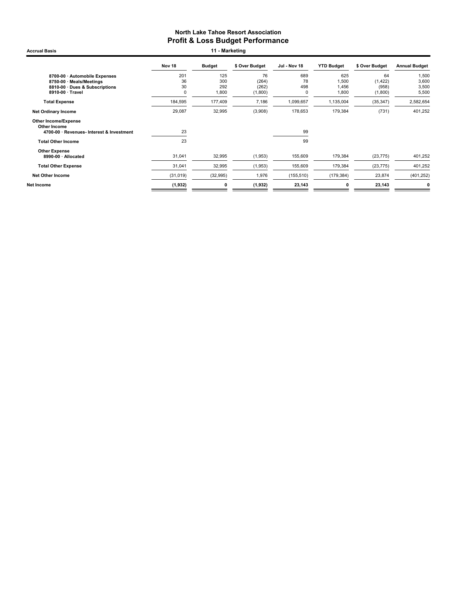Accrual Basis **11 - Marketing** 

|                                             | Nov 18    | <b>Budget</b> | \$ Over Budget | Jul - Nov 18 | <b>YTD Budget</b> | \$ Over Budget | <b>Annual Budget</b> |
|---------------------------------------------|-----------|---------------|----------------|--------------|-------------------|----------------|----------------------|
| 8700-00 · Automobile Expenses               | 201       | 125           | 76             | 689          | 625               | 64             | 1,500                |
| 8750-00 · Meals/Meetings                    | 36        | 300           | (264)          | 78           | 1,500             | (1, 422)       | 3,600                |
| 8810-00 Dues & Subscriptions                | 30        | 292           | (262)          | 498          | 1,456             | (958)          | 3,500                |
| 8910-00 · Travel                            | 0         | 1,800         | (1,800)        | 0            | 1,800             | (1,800)        | 5,500                |
| <b>Total Expense</b>                        | 184,595   | 177,409       | 7,186          | 1,099,657    | 1,135,004         | (35, 347)      | 2,582,654            |
| <b>Net Ordinary Income</b>                  | 29,087    | 32,995        | (3,908)        | 178,653      | 179,384           | (731)          | 401,252              |
| <b>Other Income/Expense</b><br>Other Income |           |               |                |              |                   |                |                      |
| 4700-00 · Revenues- Interest & Investment   | 23        |               |                | 99           |                   |                |                      |
| <b>Total Other Income</b>                   | 23        |               |                | 99           |                   |                |                      |
| <b>Other Expense</b>                        |           |               |                |              |                   |                |                      |
| 8990-00 · Allocated                         | 31,041    | 32,995        | (1,953)        | 155,609      | 179,384           | (23, 775)      | 401,252              |
| <b>Total Other Expense</b>                  | 31,041    | 32,995        | (1,953)        | 155,609      | 179,384           | (23, 775)      | 401,252              |
| <b>Net Other Income</b>                     | (31, 019) | (32, 995)     | 1,976          | (155, 510)   | (179, 384)        | 23,874         | (401, 252)           |
| Net Income                                  | (1, 932)  | 0             | (1,932)        | 23,143       | 0                 | 23,143         | 0                    |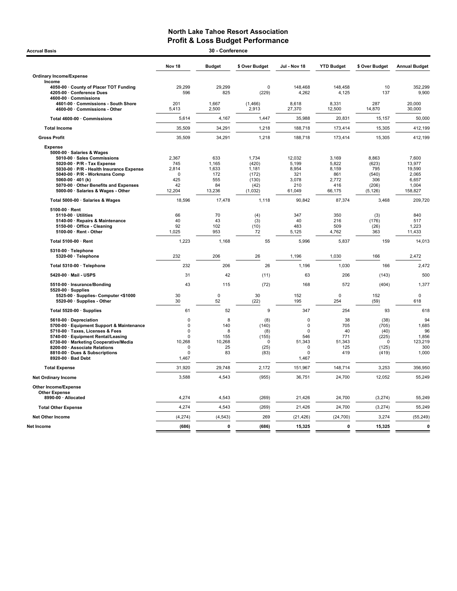| <b>Accrual Basis</b>                                             |                         | 30 - Conference |                |               |                   |                |                      |
|------------------------------------------------------------------|-------------------------|-----------------|----------------|---------------|-------------------|----------------|----------------------|
|                                                                  | Nov 18                  | <b>Budget</b>   | \$ Over Budget | Jul - Nov 18  | <b>YTD Budget</b> | \$ Over Budget | <b>Annual Budget</b> |
| <b>Ordinary Income/Expense</b>                                   |                         |                 |                |               |                   |                |                      |
| Income                                                           |                         |                 |                |               |                   |                |                      |
| 4050-00 · County of Placer TOT Funding                           | 29,299                  | 29,299          | $\Omega$       | 148,468       | 148,458           | 10             | 352,299              |
| 4205-00 · Conference Dues                                        | 596                     | 825             | (229)          | 4,262         | 4,125             | 137            | 9,900                |
| 4600-00 · Commissions                                            |                         |                 |                |               |                   |                |                      |
| 4601-00 Commissions - South Shore                                | 201                     | 1,667           | (1,466)        | 8,618         | 8,331             | 287            | 20,000               |
| 4600-00 Commissions - Other                                      | 5,413                   | 2,500           | 2,913          | 27,370        | 12,500            | 14,870         | 30,000               |
| Total 4600-00 · Commissions                                      | 5,614                   | 4,167           | 1,447          | 35,988        | 20,831            | 15,157         | 50,000               |
| <b>Total Income</b>                                              | 35,509                  | 34,291          | 1,218          | 188,718       | 173,414           | 15,305         | 412,199              |
| <b>Gross Profit</b>                                              | 35,509                  | 34,291          | 1,218          | 188,718       | 173,414           | 15,305         | 412,199              |
| <b>Expense</b>                                                   |                         |                 |                |               |                   |                |                      |
| 5000-00 · Salaries & Wages                                       |                         |                 |                |               |                   |                |                      |
| 5010-00 · Sales Commissions                                      | 2.367                   | 633             | 1.734          | 12.032        | 3.169             | 8.863          | 7.600                |
| 5020-00 · P/R - Tax Expense                                      | 745                     | 1,165           | (420)          | 5,199         | 5,822             | (623)          | 13,977               |
| 5030-00 · P/R - Health Insurance Expense                         | 2,814                   | 1,633           | 1,181          | 8,954         | 8,159             | 795            | 19,590               |
| 5040-00 · P/R - Workmans Comp                                    | 0                       | 172             | (172)          | 321           | 861               | (540)          | 2,065                |
| 5060-00 $\cdot$ 401 (k)<br>5070-00 · Other Benefits and Expenses | 425<br>42               | 555<br>84       | (130)<br>(42)  | 3,078<br>210  | 2,772<br>416      | 306<br>(206)   | 6,657<br>1,004       |
| 5000-00 · Salaries & Wages - Other                               | 12,204                  | 13,236          | (1,032)        | 61,049        | 66,175            | (5, 126)       | 158,827              |
|                                                                  |                         |                 |                |               |                   |                |                      |
| Total 5000-00 · Salaries & Wages                                 | 18,596                  | 17,478          | 1,118          | 90,842        | 87,374            | 3,468          | 209,720              |
| 5100-00 · Rent                                                   |                         |                 |                |               |                   |                |                      |
| 5110-00 · Utilities                                              | 66                      | 70              | (4)            | 347           | 350               | (3)            | 840                  |
| 5140-00 · Repairs & Maintenance<br>5150-00 Office - Cleaning     | 40<br>92                | 43<br>102       | (3)<br>(10)    | 40<br>483     | 216<br>509        | (176)<br>(26)  | 517<br>1,223         |
| 5100-00 · Rent - Other                                           | 1,025                   | 953             | 72             | 5,125         | 4,762             | 363            | 11,433               |
|                                                                  |                         |                 |                |               |                   |                |                      |
| Total 5100-00 · Rent                                             | 1,223                   | 1,168           | 55             | 5,996         | 5,837             | 159            | 14,013               |
| 5310-00 · Telephone<br>5320-00 · Telephone                       | 232                     | 206             | 26             | 1,196         | 1,030             | 166            | 2,472                |
| Total 5310-00 · Telephone                                        | 232                     | 206             | 26             | 1,196         | 1,030             | 166            | 2,472                |
| 5420-00 · Mail - USPS                                            | 31                      | 42              | (11)           | 63            | 206               | (143)          | 500                  |
| 5510-00 · Insurance/Bonding                                      | 43                      | 115             | (72)           | 168           | 572               | (404)          | 1,377                |
| $5520-00 \cdot$ Supplies                                         |                         |                 |                |               |                   |                |                      |
| 5525-00 · Supplies- Computer <\$1000                             | 30                      | $\pmb{0}$       | 30             | 152           | $\mathbf 0$       | 152            | 0                    |
| 5520-00 · Supplies - Other                                       | 30                      | 52              | (22)           | 195           | 254               | (59)           | 618                  |
| Total 5520-00 · Supplies                                         | 61                      | 52              | 9              | 347           | 254               | 93             | 618                  |
| 5610-00 Depreciation                                             | $\Omega$                | 8               | (8)            | $\pmb{0}$     | 38                | (38)           | 94                   |
| 5700-00 · Equipment Support & Maintenance                        | $\Omega$                | 140             | (140)          | 0             | 705               | (705)          | 1,685                |
| 5710-00 · Taxes, Licenses & Fees                                 | $\Omega$                | 8               | (8)            | $\Omega$      | 40                | (40)           | 96                   |
| 5740-00 · Equipment Rental/Leasing                               | $\Omega$                | 155             | (155)          | 546           | 771               | (225)          | 1,856                |
| 6730-00 · Marketing Cooperative/Media                            | 10,268                  | 10,268          | $\Omega$       | 51,343        | 51,343            | 0              | 123,219              |
| 8200-00 · Associate Relations<br>8810-00 · Dues & Subscriptions  | $\mathbf 0$<br>$\Omega$ | 25<br>83        | (25)<br>(83)   | 0<br>$\Omega$ | 125<br>419        | (125)          | 300<br>1,000         |
| 8920-00 · Bad Debt                                               | 1,467                   |                 |                | 1,467         |                   | (419)          |                      |
|                                                                  | 31,920                  | 29,748          | 2,172          | 151,967       | 148,714           | 3,253          | 356,950              |
| <b>Total Expense</b>                                             | 3,588                   | 4,543           | (955)          | 36,751        |                   | 12,052         | 55,249               |
| <b>Net Ordinary Income</b>                                       |                         |                 |                |               | 24,700            |                |                      |
| Other Income/Expense                                             |                         |                 |                |               |                   |                |                      |
| <b>Other Expense</b>                                             |                         |                 |                |               |                   |                |                      |
| 8990-00 · Allocated                                              | 4,274                   | 4,543           | (269)          | 21,426        | 24,700            | (3, 274)       | 55,249               |
| <b>Total Other Expense</b>                                       | 4,274                   | 4,543           | (269)          | 21,426        | 24,700            | (3, 274)       | 55,249               |
| <b>Net Other Income</b>                                          | (4,274)                 | (4, 543)        | 269            | (21, 426)     | (24, 700)         | 3,274          | (55, 249)            |
| Net Income                                                       | (686)                   | $\mathbf 0$     | (686)          | 15,325        | $\mathbf{0}$      | 15,325         | $\mathbf 0$          |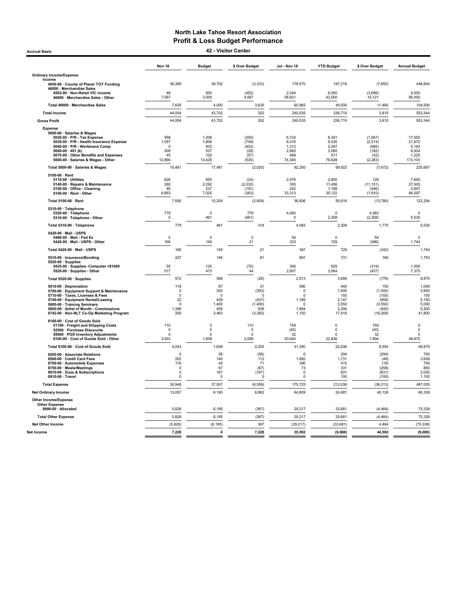Accrual Basis 42 - Visitor Center

|                                                                                                                                                                                                                                                                      | Nov 18                                                              | <b>Budget</b>                                            | \$ Over Budget                                                 | <b>Jul - Nov 18</b>                                            | <b>YTD Budget</b>                                        | \$ Over Budget                                                     | <b>Annual Budget</b>                                       |
|----------------------------------------------------------------------------------------------------------------------------------------------------------------------------------------------------------------------------------------------------------------------|---------------------------------------------------------------------|----------------------------------------------------------|----------------------------------------------------------------|----------------------------------------------------------------|----------------------------------------------------------|--------------------------------------------------------------------|------------------------------------------------------------|
| <b>Ordinary Income/Expense</b>                                                                                                                                                                                                                                       |                                                                     |                                                          |                                                                |                                                                |                                                          |                                                                    |                                                            |
| Income<br>4050-00 · County of Placer TOT Funding<br>46000 · Merchandise Sales                                                                                                                                                                                        | 36,369                                                              | 39,702                                                   | (3, 333)                                                       | 179,570                                                        | 187,219                                                  | (7,650)                                                            | 448,844                                                    |
| 4502-00 · Non-Retail VIC income<br>46000 · Merchandise Sales - Other                                                                                                                                                                                                 | 48<br>7,587                                                         | 500<br>3,500                                             | (452)<br>4.087                                                 | 2,344<br>58.621                                                | 6,000<br>43,500                                          | (3,656)<br>15,121                                                  | 9,500<br>95,000                                            |
| Total 46000 · Merchandise Sales                                                                                                                                                                                                                                      | 7,635                                                               | 4,000                                                    | 3,635                                                          | 60,965                                                         | 49,500                                                   | 11,465                                                             | 104,500                                                    |
| <b>Total Income</b>                                                                                                                                                                                                                                                  | 44,004                                                              | 43,702                                                   | 302                                                            | 240,535                                                        | 236,719                                                  | 3,815                                                              | 553,344                                                    |
| <b>Gross Profit</b>                                                                                                                                                                                                                                                  | 44,004                                                              | 43,702                                                   | 302                                                            | 240,535                                                        | 236,719                                                  | 3,815                                                              | 553,344                                                    |
| <b>Expense</b><br>5000-00 · Salaries & Wages<br>5020-00 · P/R - Tax Expense<br>5030-00 · P/R - Health Insurance Expense<br>5040-00 · P/R - Workmans Comp<br>5060-00 $\cdot$ 401 (k)<br>5070-00 Other Benefits and Expenses<br>5000-00 · Salaries & Wages - Other     | 958<br>1,057<br>0<br>509<br>45<br>12,890                            | 1,208<br>1,806<br>403<br>537<br>102<br>13,425            | (250)<br>(749)<br>(403)<br>(28)<br>(57)<br>(535)               | 6,724<br>6.516<br>1,312<br>2,883<br>469<br>74,345              | 8,391<br>9.030<br>2,297<br>3.065<br>511<br>76,628        | (1,667)<br>(2, 514)<br>(985)<br>(182)<br>(42)<br>(2, 283)          | 17,550<br>21.672<br>5,193<br>6.924<br>1,225<br>173,103     |
| Total 5000-00 · Salaries & Wages                                                                                                                                                                                                                                     | 15,461                                                              | 17,481                                                   | (2,020)                                                        | 92,250                                                         | 99,922                                                   | (7,672)                                                            | 225,667                                                    |
| 5100-00 · Rent<br>5110-00 · Utilities<br>5140-00 · Repairs & Maintenance<br>5150-00 · Office - Cleaning<br>5100-00 · Rent - Other                                                                                                                                    | 626<br>260<br>46<br>6,663                                           | 650<br>2,292<br>237<br>7,025                             | (24)<br>(2,032)<br>(191)<br>(363)                              | 2,976<br>305<br>242<br>33,313                                  | 2,850<br>11,456<br>1,188<br>35,122                       | 126<br>(11, 151)<br>(946)<br>(1, 810)                              | 7,650<br>27,500<br>2,847<br>84,297                         |
| Total 5100-00 · Rent                                                                                                                                                                                                                                                 | 7,595                                                               | 10,204                                                   | (2,609)                                                        | 36,836                                                         | 50,616                                                   | (13,780)                                                           | 122,294                                                    |
| 5310-00 · Telephone<br>5320-00 · Telephone<br>5310-00 · Telephone - Other                                                                                                                                                                                            | 779<br>$\mathbf 0$                                                  | $\mathbf 0$<br>461                                       | 779<br>(461)                                                   | 4,083<br>$\Omega$                                              | $\mathbf 0$<br>2,308                                     | 4.083<br>(2, 308)                                                  | $\Omega$<br>5,535                                          |
| Total 5310-00 · Telephone                                                                                                                                                                                                                                            | 779                                                                 | 461                                                      | 318                                                            | 4,083                                                          | 2,308                                                    | 1,775                                                              | 5,535                                                      |
| 5420-00 · Mail - USPS<br>5480-00 · Mail - Fed Ex<br>5420-00 · Mail - USPS - Other                                                                                                                                                                                    | $\mathbf{0}$<br>166                                                 | $\pmb{0}$<br>145                                         | $\pmb{0}$<br>21                                                | 54<br>333                                                      | $\mathbf 0$<br>729                                       | 54<br>(396)                                                        | $\pmb{0}$<br>1,744                                         |
| Total 5420-00 · Mail - USPS                                                                                                                                                                                                                                          | 166                                                                 | 145                                                      | 21                                                             | 387                                                            | 729                                                      | (342)                                                              | 1,744                                                      |
| 5510-00 · Insurance/Bonding                                                                                                                                                                                                                                          | 227                                                                 | 146                                                      | 81                                                             | 891                                                            | 731                                                      | 160                                                                | 1,753                                                      |
| 5520-00 · Supplies<br>5525-00 Supplies- Computer <\$1000<br>5520-00 · Supplies - Other                                                                                                                                                                               | 55<br>517                                                           | 125<br>473                                               | (70)<br>44                                                     | 306<br>2,607                                                   | 625<br>3,064                                             | (319)<br>(457)                                                     | 1,500<br>7,375                                             |
| Total 5520-00 · Supplies                                                                                                                                                                                                                                             | 572                                                                 | 598                                                      | (26)                                                           | 2,913                                                          | 3,689                                                    | (776)                                                              | 8,875                                                      |
| 5610-00 · Depreciation<br>5700-00 · Equipment Support & Maintenance<br>5710-00 · Taxes, Licenses & Fees<br>5740-00 · Equipment Rental/Leasing<br>5800-00 · Training Seminars<br>5850-00 · Artist of Month - Commissions<br>6742-00 · Non-NLT Co-Op Marketing Program | 118<br>$\Omega$<br>$\mathbf 0$<br>22<br>$\mathbf 0$<br>1,396<br>200 | 87<br>300<br>$\mathbf 0$<br>429<br>1,400<br>458<br>3,483 | 31<br>(300)<br>$\Omega$<br>(407)<br>(1,400)<br>938<br>(3, 283) | 590<br>$\Omega$<br>0<br>1,189<br>$\mathsf 0$<br>1,894<br>1,150 | 440<br>1,500<br>155<br>2,147<br>3,550<br>2,294<br>17,419 | 150<br>(1,500)<br>(155)<br>(958)<br>(3, 550)<br>(400)<br>(16, 269) | 1,049<br>3,600<br>155<br>5,150<br>5,000<br>5,500<br>41,800 |
| 8100-00 · Cost of Goods Sold<br>51100 · Freight and Shipping Costs<br>52500 · Purchase Discounts<br>59900 · POS Inventory Adjustments<br>8100-00 · Cost of Goods Sold - Other                                                                                        | 110<br>$\mathbf{0}$<br>$\pmb{0}$<br>3,933                           | $\pmb{0}$<br>$\mathsf 0$<br>$\mathbf 0$<br>1,838         | 110<br>$\pmb{0}$<br>$\mathbf 0$<br>2,095                       | 759<br>(40)<br>32<br>30,640                                    | $\mathbf 0$<br>$\mathbf 0$<br>$\mathbf 0$<br>22,836      | 759<br>(40)<br>32<br>7,804                                         | $\mathbf 0$<br>$\pmb{0}$<br>$\mathbf 0$<br>49,875          |
| Total 8100-00 · Cost of Goods Sold                                                                                                                                                                                                                                   | 4,043                                                               | 1,838                                                    | 2,205                                                          | 31,390                                                         | 22,836                                                   | 8,554                                                              | 49,875                                                     |
| 8200-00 · Associate Relations<br>8500-00 · Credit Card Fees<br>8700-00 · Automobile Expenses<br>8750-00 · Meals/Meetings<br>8810-00 · Dues & Subscriptions<br>8910-00 · Travel                                                                                       | $\Omega$<br>252<br>116<br>$\mathbf 0$<br>$^{\circ}$<br>$\mathsf 0$  | 58<br>140<br>45<br>67<br>167<br>$\mathsf 0$              | (58)<br>112<br>71<br>(67)<br>(167)<br>$\Omega$                 | $\Omega$<br>1,682<br>396<br>73<br>$\mathbf 0$<br>$\pmb{0}$     | 294<br>1,731<br>415<br>331<br>831<br>100                 | (294)<br>(49)<br>(19)<br>(258)<br>(831)<br>(100)                   | 700<br>3,658<br>750<br>800<br>2,000<br>1,100               |
| <b>Total Expense</b>                                                                                                                                                                                                                                                 | 30,948                                                              | 37,507                                                   | (6, 559)                                                       | 175,725                                                        | 212,038                                                  | (36, 313)                                                          | 487,005                                                    |
| <b>Net Ordinary Income</b>                                                                                                                                                                                                                                           | 13,057                                                              | 6,195                                                    | 6,862                                                          | 64,809                                                         | 24,681                                                   | 40,128                                                             | 66,339                                                     |
| <b>Other Income/Expense</b><br><b>Other Expense</b><br>8990-00 · Allocated                                                                                                                                                                                           | 5,828                                                               | 6,195                                                    | (367)                                                          | 29,217                                                         | 33,681                                                   | (4, 464)                                                           | 75,339                                                     |
| <b>Total Other Expense</b>                                                                                                                                                                                                                                           | 5,828                                                               | 6,195                                                    | (367)                                                          | 29,217                                                         | 33,681                                                   | (4, 464)                                                           | 75,339                                                     |
| Net Other Income                                                                                                                                                                                                                                                     | (5,828)                                                             | (6, 195)                                                 | 367                                                            | (29, 217)                                                      | (33, 681)                                                | 4,464                                                              | (75, 339)                                                  |
| Net Income                                                                                                                                                                                                                                                           | 7,228                                                               | $\mathbf{0}$                                             | 7,228                                                          | 35,592                                                         | (9,000)                                                  | 44,592                                                             | (9,000)                                                    |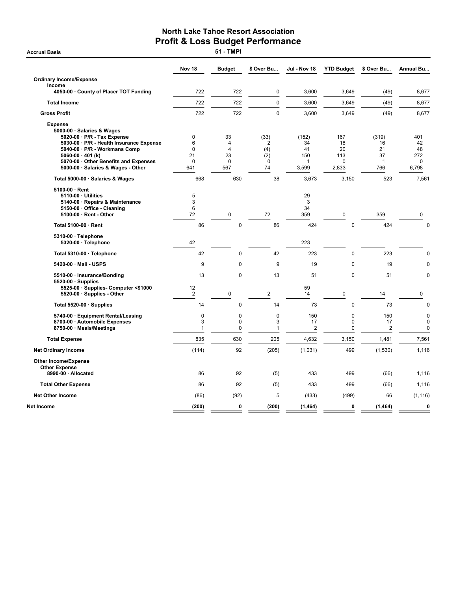|                                                                                                                                                                                   | Nov <sub>18</sub>                            | <b>Budget</b>                                   | \$ Over Bu                           | Jul - Nov 18                  | <b>YTD Budget</b>                       | \$ Over Bu                            | <b>Annual Bu</b>                          |
|-----------------------------------------------------------------------------------------------------------------------------------------------------------------------------------|----------------------------------------------|-------------------------------------------------|--------------------------------------|-------------------------------|-----------------------------------------|---------------------------------------|-------------------------------------------|
| <b>Ordinary Income/Expense</b>                                                                                                                                                    |                                              |                                                 |                                      |                               |                                         |                                       |                                           |
| Income<br>4050-00 · County of Placer TOT Funding                                                                                                                                  | 722                                          | 722                                             | $\mathbf 0$                          | 3.600                         | 3,649                                   | (49)                                  | 8,677                                     |
| <b>Total Income</b>                                                                                                                                                               | 722                                          | 722                                             | $\mathbf 0$                          | 3,600                         | 3,649                                   | (49)                                  | 8,677                                     |
| <b>Gross Profit</b>                                                                                                                                                               | 722                                          | 722                                             | $\mathbf 0$                          | 3,600                         | 3,649                                   | (49)                                  | 8,677                                     |
| <b>Expense</b><br>5000-00 · Salaries & Wages<br>5020-00 · P/R - Tax Expense                                                                                                       | 0                                            | 33                                              | (33)                                 | (152)                         | 167                                     | (319)                                 | 401                                       |
| 5030-00 · P/R - Health Insurance Expense<br>5040-00 · P/R - Workmans Comp<br>5060-00 $\cdot$ 401 (k)<br>5070-00 Other Benefits and Expenses<br>5000-00 · Salaries & Wages - Other | 6<br>$\mathbf 0$<br>21<br>$\mathbf 0$<br>641 | 4<br>$\overline{4}$<br>23<br>$\mathbf 0$<br>567 | 2<br>(4)<br>(2)<br>$\mathbf 0$<br>74 | 34<br>41<br>150<br>1<br>3,599 | 18<br>20<br>113<br>0<br>2,833           | 16<br>21<br>37<br>$\mathbf{1}$<br>766 | 42<br>48<br>272<br>0<br>6,798             |
| Total 5000-00 · Salaries & Wages                                                                                                                                                  | 668                                          | 630                                             | 38                                   | 3,673                         | 3,150                                   | 523                                   | 7,561                                     |
| $5100-00 \cdot$ Rent                                                                                                                                                              |                                              |                                                 |                                      |                               |                                         |                                       |                                           |
| 5110-00 · Utilities<br>5140-00 · Repairs & Maintenance<br>5150-00 · Office - Cleaning<br>5100-00 · Rent - Other                                                                   | 5<br>3<br>6<br>72                            | $\pmb{0}$                                       | 72                                   | 29<br>3<br>34<br>359          | 0                                       | 359                                   | 0                                         |
| Total 5100-00 · Rent                                                                                                                                                              | 86                                           | $\pmb{0}$                                       | 86                                   | 424                           | $\pmb{0}$                               | 424                                   | $\mathbf 0$                               |
| 5310-00 · Telephone<br>5320-00 · Telephone                                                                                                                                        | 42                                           |                                                 |                                      | 223                           |                                         |                                       |                                           |
| Total 5310-00 · Telephone                                                                                                                                                         | 42                                           | $\mathbf 0$                                     | 42                                   | 223                           | $\Omega$                                | 223                                   | $\mathbf 0$                               |
| 5420-00 · Mail - USPS                                                                                                                                                             | 9                                            | $\mathbf 0$                                     | 9                                    | 19                            | 0                                       | 19                                    | $\mathbf 0$                               |
| 5510-00 · Insurance/Bonding                                                                                                                                                       | 13                                           | 0                                               | 13                                   | 51                            | $\mathbf 0$                             | 51                                    | $\mathbf 0$                               |
| $5520-00 \cdot$ Supplies<br>5525-00 · Supplies- Computer <\$1000<br>5520-00 · Supplies - Other                                                                                    | 12<br>$\overline{2}$                         | $\pmb{0}$                                       | $\overline{2}$                       | 59<br>14                      | 0                                       | 14                                    | 0                                         |
| Total 5520-00 · Supplies                                                                                                                                                          | 14                                           | $\pmb{0}$                                       | 14                                   | 73                            | 0                                       | 73                                    | $\mathbf 0$                               |
| 5740-00 · Equipment Rental/Leasing<br>8700-00 · Automobile Expenses<br>8750-00 · Meals/Meetings                                                                                   | 0<br>3<br>1                                  | $\mathbf 0$<br>0<br>$\pmb{0}$                   | $\mathbf 0$<br>3<br>$\mathbf{1}$     | 150<br>17<br>$\overline{2}$   | $\mathbf 0$<br>$\pmb{0}$<br>$\mathbf 0$ | 150<br>17<br>$\overline{2}$           | $\mathbf 0$<br>$\mathbf 0$<br>$\mathbf 0$ |
| <b>Total Expense</b>                                                                                                                                                              | 835                                          | 630                                             | 205                                  | 4,632                         | 3,150                                   | 1,481                                 | 7,561                                     |
| <b>Net Ordinary Income</b>                                                                                                                                                        | (114)                                        | 92                                              | (205)                                | (1,031)                       | 499                                     | (1,530)                               | 1,116                                     |
| <b>Other Income/Expense</b><br><b>Other Expense</b>                                                                                                                               |                                              |                                                 |                                      |                               |                                         |                                       |                                           |
| 8990-00 · Allocated                                                                                                                                                               | 86                                           | 92                                              | (5)                                  | 433                           | 499                                     | (66)                                  | 1,116                                     |
| <b>Total Other Expense</b>                                                                                                                                                        | 86                                           | 92                                              | (5)                                  | 433                           | 499                                     | (66)                                  | 1,116                                     |
| <b>Net Other Income</b>                                                                                                                                                           | (86)                                         | (92)                                            | 5                                    | (433)                         | (499)                                   | 66                                    | (1, 116)                                  |
| Net Income                                                                                                                                                                        | (200)                                        | 0                                               | (200)                                | (1, 464)                      | 0                                       | (1, 464)                              | $\mathbf 0$                               |

**Accrual Basis**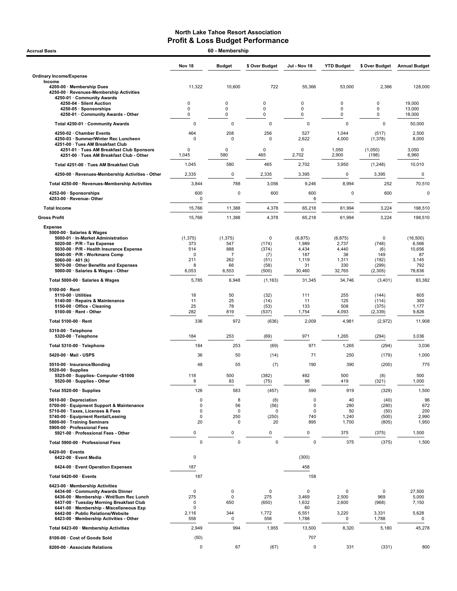| <b>Accrual Basis</b>                                                                                          | 60 - Membership   |                   |                  |                |                   |                   |                      |
|---------------------------------------------------------------------------------------------------------------|-------------------|-------------------|------------------|----------------|-------------------|-------------------|----------------------|
|                                                                                                               | Nov <sub>18</sub> | <b>Budget</b>     | \$ Over Budget   | Jul - Nov 18   | <b>YTD Budget</b> | \$ Over Budget    | <b>Annual Budget</b> |
| <b>Ordinary Income/Expense</b>                                                                                |                   |                   |                  |                |                   |                   |                      |
| Income<br>4200-00 · Membership Dues<br>4250-00 · Revenues-Membership Activities<br>4250-01 · Community Awards | 11,322            | 10,600            | 722              | 55,366         | 53,000            | 2,366             | 128,000              |
| 4250-04 · Silent Auction                                                                                      | 0<br>0            | $\mathbf 0$<br>0  | $\mathbf 0$<br>0 | 0              | 0<br>0            | 0<br>0            | 19,000               |
| 4250-05 · Sponsorships<br>4250-01 Community Awards - Other                                                    | 0                 | 0                 | 0                | 0<br>0         | 0                 | $\mathbf 0$       | 13,000<br>18,000     |
| Total 4250-01 · Community Awards                                                                              | $\pmb{0}$         | 0                 | $\pmb{0}$        | $\mathbf 0$    | $\pmb{0}$         | $\mathbf 0$       | 50,000               |
| 4250-02 · Chamber Events                                                                                      | 464               | 208               | 256              | 527            | 1,044             | (517)             | 2,500                |
| 4250-03 · Summer/Winter Rec Luncheon<br>4251-00 · Tues AM Breakfast Club                                      | $\Omega$          | 0                 | 0                | 2,622          | 4,000             | (1, 378)          | 8,000                |
| 4251-01 · Tues AM Breakfast Club Sponsors<br>4251-00 · Tues AM Breakfast Club - Other                         | 0<br>1,045        | 0<br>580          | $\Omega$<br>465  | 0<br>2,702     | 1,050<br>2,900    | (1,050)<br>(198)  | 3,050<br>6,960       |
| Total 4251-00 · Tues AM Breakfast Club                                                                        | 1,045             | 580               | 465              | 2,702          | 3,950             | (1,248)           | 10,010               |
| 4250-00 · Revenues-Membership Activities - Other                                                              | 2,335             | 0                 | 2,335            | 3,395          | $\mathsf 0$       | 3,395             | $\mathbf 0$          |
| Total 4250-00 · Revenues-Membership Activities                                                                | 3,844             | 788               | 3,056            | 9,246          | 8,994             | 252               | 70,510               |
| 4252-00 · Sponsorships                                                                                        | 600               | $\mathbf 0$       | 600              | 600            | $\mathbf 0$       | 600               |                      |
| 4253-00 · Revenue- Other                                                                                      | 0                 |                   |                  | 6              |                   |                   |                      |
| <b>Total Income</b>                                                                                           | 15,766            | 11,388            | 4,378            | 65,218         | 61,994            | 3,224             | 198,510              |
| <b>Gross Profit</b>                                                                                           | 15,766            | 11,388            | 4,378            | 65,218         | 61,994            | 3,224             | 198,510              |
| <b>Expense</b><br>5000-00 · Salaries & Wages                                                                  |                   |                   |                  |                |                   |                   |                      |
| 5000-01 · In-Market Administration                                                                            | (1, 375)          | (1, 375)          | $\mathbf 0$      | (6, 875)       | (6, 875)          | 0                 | (16,500)             |
| 5020-00 · P/R - Tax Expense<br>5030-00 · P/R - Health Insurance Expense                                       | 373<br>514        | 547<br>888        | (174)<br>(374)   | 1,989<br>4,434 | 2,737<br>4,440    | (748)<br>(6)      | 6,566<br>10,656      |
| 5040-00 · P/R - Workmans Comp                                                                                 | $\Omega$          | 7                 | (7)              | 187            | 38                | 149               | 87                   |
| 5060-00 $\cdot$ 401 (k)<br>5070-00 Other Benefits and Expenses                                                | 211<br>8          | 262<br>66         | (51)<br>(58)     | 1,119<br>31    | 1,311<br>330      | (192)<br>(299)    | 3,145<br>792         |
| 5000-00 · Salaries & Wages - Other                                                                            | 6,053             | 6,553             | (500)            | 30,460         | 32,765            | (2, 305)          | 78,636               |
| Total 5000-00 · Salaries & Wages                                                                              | 5,785             | 6,948             | (1, 163)         | 31,345         | 34,746            | (3,401)           | 83,382               |
| $5100-00 \cdot$ Rent<br>$5110-00 \cdot$ Utilities                                                             | 18                | 50                | (32)             | 111            | 255               | (144)             | 605                  |
| 5140-00 · Repairs & Maintenance                                                                               | 11                | 25                | (14)             | 11             | 125               | (114)             | 300                  |
| 5150-00 · Office - Cleaning<br>5100-00 · Rent - Other                                                         | 25<br>282         | 78<br>819         | (53)<br>(537)    | 133<br>1,754   | 508<br>4,093      | (375)<br>(2, 339) | 1,177<br>9,826       |
| Total 5100-00 · Rent                                                                                          | 336               | 972               | (636)            | 2,009          | 4,981             | (2,972)           | 11,908               |
| 5310-00 · Telephone                                                                                           |                   |                   |                  |                |                   |                   |                      |
| 5320-00 · Telephone                                                                                           | 184               | 253               | (69)             | 971            | 1,265             | (294)             | 3,036                |
| Total 5310-00 · Telephone                                                                                     | 184               | 253               | (69)             | 971            | 1,265             | (294)             | 3,036                |
| 5420-00 · Mail - USPS                                                                                         | 36                | 50                | (14)             | 71             | 250               | (179)             | 1,000                |
| 5510-00 · Insurance/Bonding<br>$5520-00 \cdot$ Supplies                                                       | 48                | 55                | (7)              | 190            | 390               | (200)             |                      |
| 5525-00 · Supplies- Computer <\$1000<br>5520-00 · Supplies - Other                                            | 118<br>8          | 500<br>83         | (382)<br>(75)    | 492<br>98      | 500<br>419        | (8)<br>(321)      | 500<br>1,000         |
| Total 5520-00 · Supplies                                                                                      | 126               | 583               | (457)            | 590            | 919               | (329)             | 1,500                |
| 5610-00 Depreciation                                                                                          | 0                 | 8                 | (8)              | 0              | 40                | (40)              |                      |
| 5700-00 · Equipment Support & Maintenance<br>5710-00 · Taxes, Licenses & Fees                                 | 0<br>0            | 56<br>$\mathbf 0$ | (56)<br>$\Omega$ | 0<br>0         | 280               | (280)             |                      |
| 5740-00 · Equipment Rental/Leasing                                                                            | 0                 | 250               | (250)            | 740            | 50<br>1,240       | (50)<br>(500)     | 2,990                |
| 5800-00 · Training Seminars<br>5900-00 · Professional Fees                                                    | 20                | 0                 | 20               | 895            | 1,700             | (805)             | 1,950                |
| 5921-00 · Professional Fees - Other                                                                           | 0                 | 0                 | 0                | 0              | 375               | (375)             | 1,500                |
| Total 5900-00 · Professional Fees                                                                             | $\mathbf 0$       | $\mathbf 0$       | $\mathbf 0$      | $\pmb{0}$      | 375               | (375)             | 1,500                |
| 6420-00 · Events<br>6422-00 · Event Media                                                                     | 0                 |                   |                  | (300)          |                   |                   |                      |
| 6424-00 · Event Operation Expenses                                                                            | 187               |                   |                  | 458            |                   |                   |                      |
| Total 6420-00 · Events                                                                                        | 187               |                   |                  | 158            |                   |                   |                      |
| 6423-00 · Membership Activities                                                                               |                   |                   |                  |                |                   |                   |                      |
| 6434-00 Community Awards Dinner                                                                               | 0                 | 0                 | $\mathsf 0$      | 0              | $\mathbf 0$       | $\mathbf 0$       | 27,500               |
| 6436-00 · Membership - Wnt/Sum Rec Lunch<br>6437-00 · Tuesday Morning Breakfast Club                          | 275<br>0          | 0<br>650          | 275<br>(650)     | 3,469<br>1,632 | 2,500<br>2,600    | 969<br>(968)      | 5,000<br>7,150       |
| 6441-00 · Membership - Miscellaneous Exp                                                                      | 0                 |                   |                  | 60             |                   |                   |                      |
| 6442-00 · Public Relations/Website<br>6423-00 · Membership Activities - Other                                 | 2,116<br>558      | 344<br>0          | 1,772<br>558     | 6,551<br>1,788 | 3,220<br>0        | 3,331<br>1,788    | 5,628<br>0           |
| Total 6423-00 · Membership Activities                                                                         | 2,949             | 994               | 1,955            | 13,500         | 8,320             | 5,180             | 45,278               |
| 8100-00 · Cost of Goods Sold                                                                                  | (50)              |                   |                  | 707            |                   |                   |                      |
| 8200-00 · Associate Relations                                                                                 | 0                 | 67                | (67)             | 0              | 331               | (331)             |                      |
|                                                                                                               |                   |                   |                  |                |                   |                   | 800                  |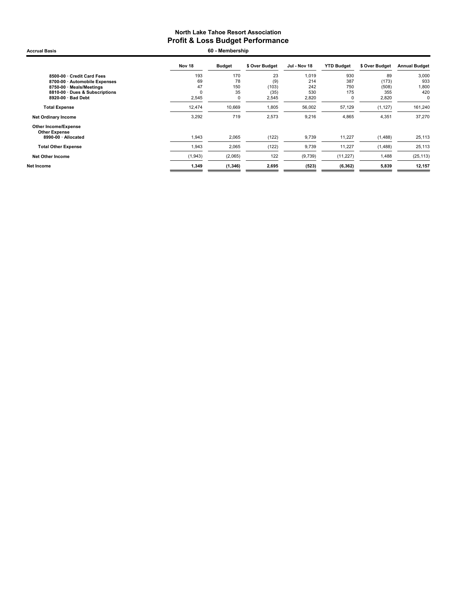Nov 18 Budget \$ Over Budget Jul - Nov 18 YTD Budget \$ Over Budget Annual Budget 8500-00 · Credit Card Fees 193 170 23 1,019 930 89 3,000 8700-00 · Automobile Expenses 69 78 (9) 214 387 (173) 933 8750-00 · Meals/Meetings 47 150 (103) 242 750 (508) 1,800 8810-00 · Dues & Subscriptions 0 35 (35) 530 175 355 420 8920-00  $\cdot$  Bad Debt Total Expense 12,474 10,669 1,805 56,002 57,129 (1,127) 161,240 Net Ordinary Income 2012 2.573 9,216 4,865 4,351 37,270 Other Income/Expense Other Expense<br> 8990-00 · Allocated 1,943 2,065 (122) 9,739 11,227 (1,488) 25,113 **Total Other Expense** 1,943 2,065 (122) 9,739 11,227 (1,488) 25,113 Net Other Income (1,943) (2,065) 122 (9,739) (11,227) 1,488 (25,113) Net Income 1,349 (1,346) 2,695 (523) (6,362) 5,839 12,157 Accrual Basis 60 - Membership